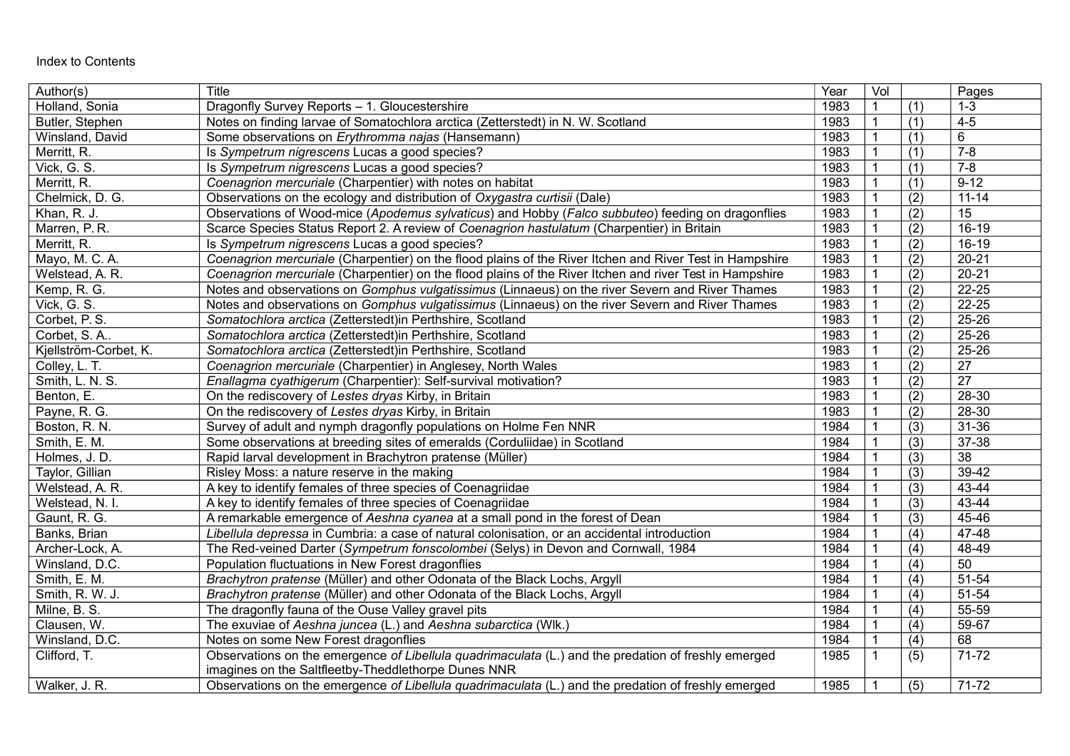| Author(s)             | Title                                                                                                   | Year | Vol          |                  | Pages           |
|-----------------------|---------------------------------------------------------------------------------------------------------|------|--------------|------------------|-----------------|
| Holland, Sonia        | Dragonfly Survey Reports - 1. Gloucestershire                                                           | 1983 |              | (1)              | $1 - 3$         |
| Butler, Stephen       | Notes on finding larvae of Somatochlora arctica (Zetterstedt) in N. W. Scotland                         | 1983 | 1            | (1)              | $4-5$           |
| Winsland, David       | Some observations on Erythromma najas (Hansemann)                                                       | 1983 | $\mathbf{1}$ | (1)              | 6               |
| Merritt, R.           | Is Sympetrum nigrescens Lucas a good species?                                                           | 1983 | $\mathbf 1$  | (1)              | $7 - 8$         |
| Vick, G. S.           | Is Sympetrum nigrescens Lucas a good species?                                                           | 1983 |              | (1)              | $7 - 8$         |
| Merritt, R.           | Coenagrion mercuriale (Charpentier) with notes on habitat                                               | 1983 | $\mathbf{1}$ | (1)              | $9 - 12$        |
| Chelmick, D. G.       | Observations on the ecology and distribution of Oxygastra curtisii (Dale)                               | 1983 |              | (2)              | $11 - 14$       |
| Khan, R. J.           | Observations of Wood-mice (Apodemus sylvaticus) and Hobby (Falco subbuteo) feeding on dragonflies       | 1983 |              | (2)              | 15              |
| Marren, P. R.         | Scarce Species Status Report 2. A review of Coenagrion hastulatum (Charpentier) in Britain              | 1983 |              | (2)              | $16-19$         |
| Merritt, R.           | Is Sympetrum nigrescens Lucas a good species?                                                           | 1983 | 1            | (2)              | $16-19$         |
| Mayo, M. C. A.        | Coenagrion mercuriale (Charpentier) on the flood plains of the River Itchen and River Test in Hampshire | 1983 |              | (2)              | $20 - 21$       |
| Welstead, A. R.       | Coenagrion mercuriale (Charpentier) on the flood plains of the River Itchen and river Test in Hampshire | 1983 |              | (2)              | $20 - 21$       |
| Kemp, R. G.           | Notes and observations on Gomphus vulgatissimus (Linnaeus) on the river Severn and River Thames         | 1983 |              | (2)              | $22 - 25$       |
| Vick, G. S.           | Notes and observations on Gomphus vulgatissimus (Linnaeus) on the river Severn and River Thames         | 1983 | $\mathbf{1}$ | $\overline{(2)}$ | $22 - 25$       |
| Corbet, P.S.          | Somatochlora arctica (Zetterstedt)in Perthshire, Scotland                                               | 1983 |              | (2)              | $25 - 26$       |
| Corbet, S.A           | Somatochlora arctica (Zetterstedt)in Perthshire, Scotland                                               | 1983 |              | (2)              | $25 - 26$       |
| Kjellström-Corbet, K. | Somatochlora arctica (Zetterstedt)in Perthshire, Scotland                                               | 1983 | $\mathbf{1}$ | (2)              | $25 - 26$       |
| Colley, L. T.         | Coenagrion mercuriale (Charpentier) in Anglesey, North Wales                                            | 1983 | $\mathbf{1}$ | (2)              | $\overline{27}$ |
| Smith, L. N. S.       | Enallagma cyathigerum (Charpentier): Self-survival motivation?                                          | 1983 | 1            | (2)              | $\overline{27}$ |
| Benton, E.            | On the rediscovery of Lestes dryas Kirby, in Britain                                                    | 1983 |              | (2)              | 28-30           |
| Payne, R. G.          | On the rediscovery of Lestes dryas Kirby, in Britain                                                    | 1983 | $\mathbf{1}$ | (2)              | 28-30           |
| Boston, R. N.         | Survey of adult and nymph dragonfly populations on Holme Fen NNR                                        | 1984 | $\mathbf{1}$ | (3)              | $31 - 36$       |
| Smith, E. M.          | Some observations at breeding sites of emeralds (Corduliidae) in Scotland                               | 1984 | $\mathbf 1$  | (3)              | 37-38           |
| Holmes, J. D.         | Rapid larval development in Brachytron pratense (Müller)                                                | 1984 |              | (3)              | $\overline{38}$ |
| Taylor, Gillian       | Risley Moss: a nature reserve in the making                                                             | 1984 | $\mathbf{1}$ | (3)              | $39-42$         |
| Welstead, A. R.       | A key to identify females of three species of Coenagriidae                                              | 1984 | $\mathbf{1}$ | (3)              | 43-44           |
| Welstead, N. I.       | A key to identify females of three species of Coenagriidae                                              | 1984 | $\mathbf 1$  | (3)              | 43-44           |
| Gaunt, R. G.          | A remarkable emergence of Aeshna cyanea at a small pond in the forest of Dean                           | 1984 |              | (3)              | $45 - 46$       |
| Banks, Brian          | Libellula depressa in Cumbria: a case of natural colonisation, or an accidental introduction            | 1984 | $\mathbf 1$  | (4)              | 47-48           |
| Archer-Lock, A.       | The Red-veined Darter (Sympetrum fonscolombei (Selys) in Devon and Cornwall, 1984                       | 1984 |              | (4)              | $48 - 49$       |
| Winsland, D.C.        | Population fluctuations in New Forest dragonflies                                                       | 1984 |              | (4)              | $\overline{50}$ |
| Smith, E. M.          | Brachytron pratense (Müller) and other Odonata of the Black Lochs, Argyll                               | 1984 |              | (4)              | $51 - 54$       |
| Smith, R. W. J.       | Brachytron pratense (Müller) and other Odonata of the Black Lochs, Argyll                               | 1984 |              | (4)              | $51 - 54$       |
| Milne, B. S.          | The dragonfly fauna of the Ouse Valley gravel pits                                                      | 1984 |              | (4)              | 55-59           |
| Clausen, W.           | The exuviae of Aeshna juncea (L.) and Aeshna subarctica (Wlk.)                                          | 1984 |              | (4)              | 59-67           |
| Winsland, D.C.        | Notes on some New Forest dragonflies                                                                    | 1984 |              | (4)              | 68              |
| Clifford, T.          | Observations on the emergence of Libellula quadrimaculata (L.) and the predation of freshly emerged     | 1985 | 1            | (5)              | $71 - 72$       |
|                       | imagines on the Saltfleetby-Theddlethorpe Dunes NNR                                                     |      |              |                  |                 |
| Walker, J. R.         | Observations on the emergence of Libellula quadrimaculata (L.) and the predation of freshly emerged     | 1985 |              | (5)              | $71 - 72$       |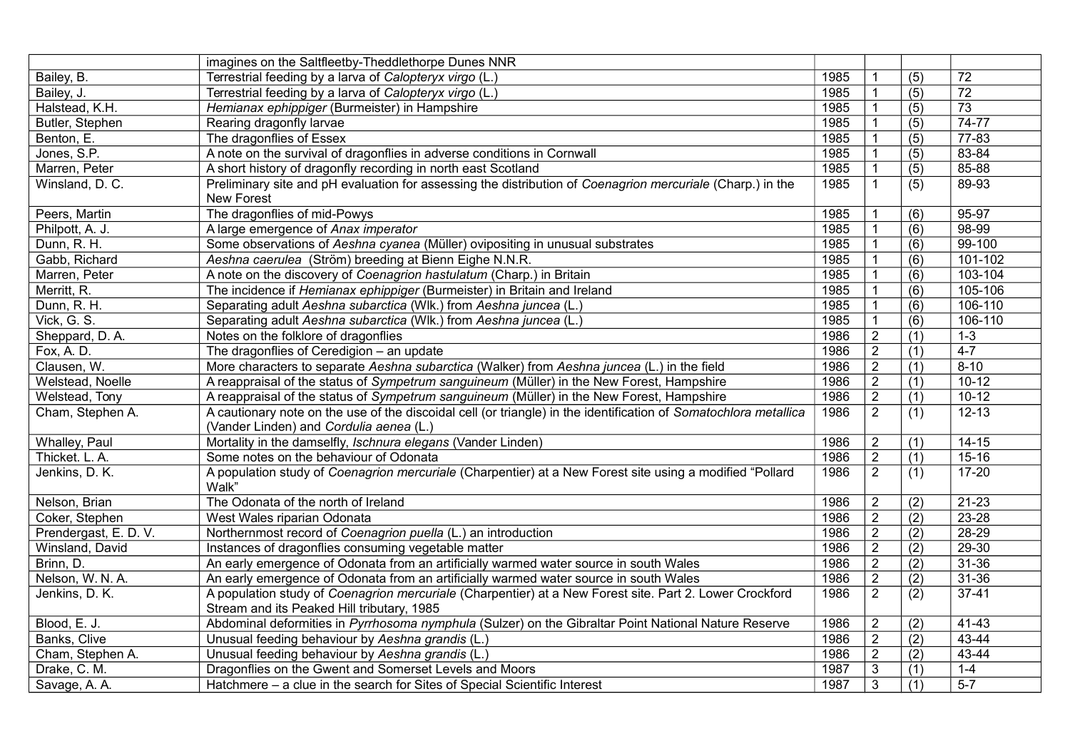|                       | imagines on the Saltfleetby-Theddlethorpe Dunes NNR                                                              |      |                |                  |           |
|-----------------------|------------------------------------------------------------------------------------------------------------------|------|----------------|------------------|-----------|
| Bailey, B.            | Terrestrial feeding by a larva of Calopteryx virgo (L.)                                                          | 1985 | $\mathbf 1$    | (5)              | 72        |
| Bailey, J.            | Terrestrial feeding by a larva of Calopteryx virgo (L.)                                                          | 1985 | $\mathbf 1$    | (5)              | 72        |
| Halstead, K.H.        | Hemianax ephippiger (Burmeister) in Hampshire                                                                    | 1985 | $\mathbf 1$    | (5)              | 73        |
| Butler, Stephen       | Rearing dragonfly larvae                                                                                         | 1985 | $\mathbf{1}$   | (5)              | 74-77     |
| Benton, E.            | The dragonflies of Essex                                                                                         | 1985 | $\mathbf{1}$   | (5)              | $77 - 83$ |
| Jones, S.P.           | A note on the survival of dragonflies in adverse conditions in Cornwall                                          | 1985 | $\mathbf{1}$   | (5)              | 83-84     |
| Marren, Peter         | A short history of dragonfly recording in north east Scotland                                                    | 1985 | $\mathbf 1$    | (5)              | 85-88     |
| Winsland, D. C.       | Preliminary site and pH evaluation for assessing the distribution of Coenagrion mercuriale (Charp.) in the       | 1985 | $\mathbf{1}$   | (5)              | 89-93     |
|                       | New Forest                                                                                                       |      |                |                  |           |
| Peers, Martin         | The dragonflies of mid-Powys                                                                                     | 1985 | $\mathbf 1$    | (6)              | $95 - 97$ |
| Philpott, A. J.       | A large emergence of Anax imperator                                                                              | 1985 | $\mathbf 1$    | (6)              | 98-99     |
| Dunn, R. H.           | Some observations of Aeshna cyanea (Müller) ovipositing in unusual substrates                                    | 1985 | $\mathbf{1}$   | (6)              | 99-100    |
| Gabb, Richard         | Aeshna caerulea (Ström) breeding at Bienn Eighe N.N.R.                                                           | 1985 | $\mathbf{1}$   | (6)              | 101-102   |
| Marren, Peter         | A note on the discovery of Coenagrion hastulatum (Charp.) in Britain                                             | 1985 | $\mathbf 1$    | (6)              | 103-104   |
| Merritt, R.           | The incidence if Hemianax ephippiger (Burmeister) in Britain and Ireland                                         | 1985 | $\mathbf{1}$   | (6)              | 105-106   |
| Dunn, R. H.           | Separating adult Aeshna subarctica (WIk.) from Aeshna juncea (L.)                                                | 1985 | $\mathbf{1}$   | (6)              | 106-110   |
| Vick, G. S.           | Separating adult Aeshna subarctica (WIk.) from Aeshna juncea (L.)                                                | 1985 | $\mathbf{1}$   | (6)              | 106-110   |
| Sheppard, D.A.        | Notes on the folklore of dragonflies                                                                             | 1986 | $\overline{2}$ | (1)              | $1 - 3$   |
| Fox, A. D.            | The dragonflies of Ceredigion - an update                                                                        | 1986 | $\sqrt{2}$     | (1)              | $4 - 7$   |
| Clausen, W.           | More characters to separate Aeshna subarctica (Walker) from Aeshna juncea (L.) in the field                      | 1986 | $\overline{2}$ | (1)              | $8 - 10$  |
| Welstead, Noelle      | A reappraisal of the status of Sympetrum sanguineum (Müller) in the New Forest, Hampshire                        | 1986 | $\overline{2}$ | (1)              | $10 - 12$ |
| Welstead, Tony        | A reappraisal of the status of Sympetrum sanguineum (Müller) in the New Forest, Hampshire                        | 1986 | $\overline{2}$ | (1)              | $10 - 12$ |
| Cham, Stephen A.      | A cautionary note on the use of the discoidal cell (or triangle) in the identification of Somatochlora metallica | 1986 | 2              | (1)              | $12 - 13$ |
|                       | (Vander Linden) and Cordulia aenea (L.)                                                                          |      |                |                  |           |
| <b>Whalley, Paul</b>  | Mortality in the damselfly, Ischnura elegans (Vander Linden)                                                     | 1986 | $\overline{2}$ | (1)              | $14 - 15$ |
| Thicket. L. A.        | Some notes on the behaviour of Odonata                                                                           | 1986 | $\overline{2}$ | (1)              | $15 - 16$ |
| Jenkins, D. K.        | A population study of Coenagrion mercuriale (Charpentier) at a New Forest site using a modified "Pollard         | 1986 | $\overline{2}$ | (1)              | $17 - 20$ |
|                       | Walk"                                                                                                            |      |                |                  |           |
| Nelson, Brian         | The Odonata of the north of Ireland                                                                              | 1986 | $\overline{2}$ | (2)              | $21 - 23$ |
| Coker, Stephen        | West Wales riparian Odonata                                                                                      | 1986 | $\sqrt{2}$     | $\overline{(2)}$ | 23-28     |
| Prendergast, E. D. V. | Northernmost record of Coenagrion puella (L.) an introduction                                                    | 1986 | $\sqrt{2}$     | (2)              | 28-29     |
| Winsland, David       | Instances of dragonflies consuming vegetable matter                                                              | 1986 | $\sqrt{2}$     | $\overline{(2)}$ | $29 - 30$ |
| Brinn, D.             | An early emergence of Odonata from an artificially warmed water source in south Wales                            | 1986 | $\overline{2}$ | (2)              | $31 - 36$ |
| Nelson, W. N. A.      | An early emergence of Odonata from an artificially warmed water source in south Wales                            | 1986 | $\sqrt{2}$     | (2)              | 31-36     |
| Jenkins, D. K.        | A population study of Coenagrion mercuriale (Charpentier) at a New Forest site. Part 2. Lower Crockford          | 1986 | $\overline{2}$ | (2)              | $37 - 41$ |
|                       | Stream and its Peaked Hill tributary, 1985                                                                       |      |                |                  |           |
| Blood, E. J.          | Abdominal deformities in Pyrrhosoma nymphula (Sulzer) on the Gibraltar Point National Nature Reserve             | 1986 | $\sqrt{2}$     | (2)              | 41-43     |
| Banks, Clive          | Unusual feeding behaviour by Aeshna grandis (L.)                                                                 | 1986 | $\overline{2}$ | (2)              | 43-44     |
| Cham, Stephen A.      | Unusual feeding behaviour by Aeshna grandis (L.)                                                                 | 1986 | $\overline{2}$ | (2)              | 43-44     |
| Drake, C. M.          | Dragonflies on the Gwent and Somerset Levels and Moors                                                           | 1987 | $\mathfrak{Z}$ | (1)              | $1 - 4$   |
| Savage, A. A.         | Hatchmere - a clue in the search for Sites of Special Scientific Interest                                        | 1987 | 3              | (1)              | $5 - 7$   |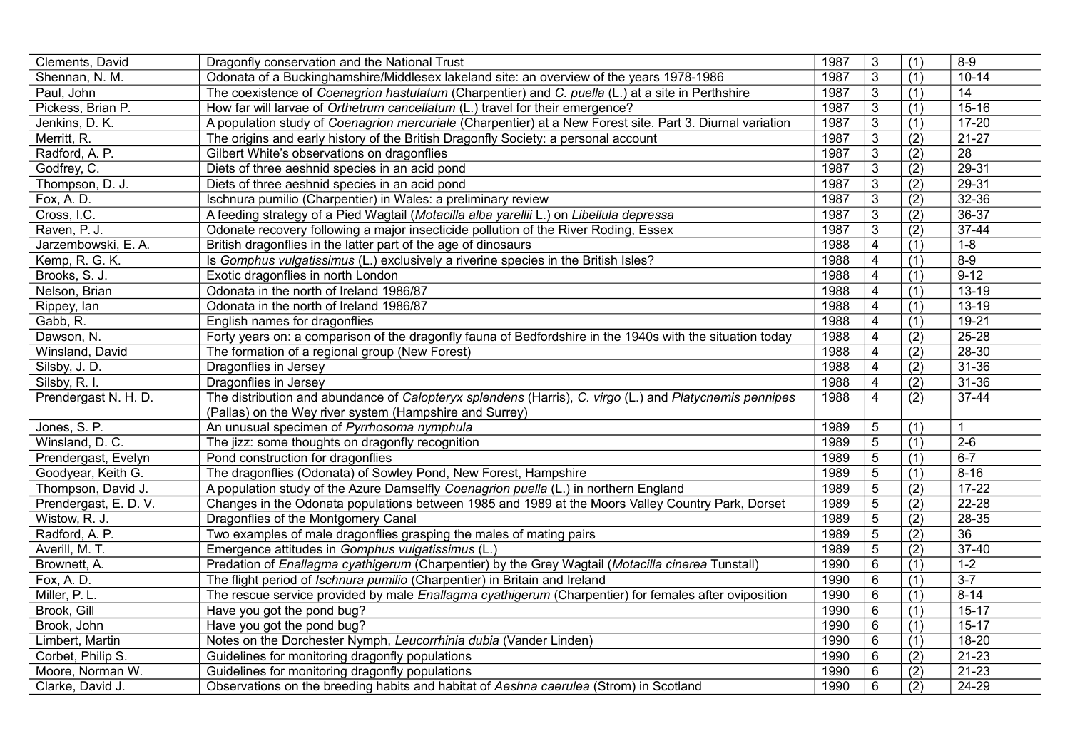| Clements, David       | Dragonfly conservation and the National Trust                                                             | 1987 | 3                       | (1) | $8 - 9$         |
|-----------------------|-----------------------------------------------------------------------------------------------------------|------|-------------------------|-----|-----------------|
| Shennan, N. M.        | Odonata of a Buckinghamshire/Middlesex lakeland site: an overview of the years 1978-1986                  | 1987 | $\mathbf{3}$            | (1) | $10 - 14$       |
| Paul, John            | The coexistence of Coenagrion hastulatum (Charpentier) and C. puella (L.) at a site in Perthshire         | 1987 | $\mathfrak{Z}$          | (1) | 14              |
| Pickess, Brian P.     | How far will larvae of Orthetrum cancellatum (L.) travel for their emergence?                             | 1987 | $\mathbf{3}$            | (1) | $15 - 16$       |
| Jenkins, D. K.        | A population study of Coenagrion mercuriale (Charpentier) at a New Forest site. Part 3. Diurnal variation | 1987 | 3                       | (1) | $17 - 20$       |
| Merritt, R.           | The origins and early history of the British Dragonfly Society: a personal account                        | 1987 | 3                       | (2) | $21-27$         |
| Radford, A. P.        | Gilbert White's observations on dragonflies                                                               | 1987 | $\sqrt{3}$              | (2) | 28              |
| Godfrey, C.           | Diets of three aeshnid species in an acid pond                                                            | 1987 | $\overline{3}$          | (2) | $29 - 31$       |
| Thompson, D. J.       | Diets of three aeshnid species in an acid pond                                                            | 1987 | $\overline{3}$          | (2) | 29-31           |
| Fox, A. D.            | Ischnura pumilio (Charpentier) in Wales: a preliminary review                                             | 1987 | $\mathbf{3}$            | (2) | 32-36           |
| Cross, I.C.           | A feeding strategy of a Pied Wagtail (Motacilla alba yarellii L.) on Libellula depressa                   | 1987 | $\mathfrak{Z}$          | (2) | 36-37           |
| Raven, P. J.          | Odonate recovery following a major insecticide pollution of the River Roding, Essex                       | 1987 | $\mathfrak{Z}$          | (2) | $37 - 44$       |
| Jarzembowski, E. A.   | British dragonflies in the latter part of the age of dinosaurs                                            | 1988 | $\overline{\mathbf{4}}$ | (1) | $1 - 8$         |
| Kemp, R. G. K.        | Is Gomphus vulgatissimus (L.) exclusively a riverine species in the British Isles?                        | 1988 | $\overline{4}$          | (1) | $8 - 9$         |
| Brooks, S. J.         | Exotic dragonflies in north London                                                                        | 1988 | $\overline{4}$          | (1) | $9 - 12$        |
| Nelson, Brian         | Odonata in the north of Ireland 1986/87                                                                   | 1988 | $\overline{4}$          | (1) | 13-19           |
| Rippey, lan           | Odonata in the north of Ireland 1986/87                                                                   | 1988 | $\overline{4}$          | (1) | $13 - 19$       |
| Gabb, R.              | English names for dragonflies                                                                             | 1988 | $\overline{\mathbf{4}}$ | (1) | $19 - 21$       |
| Dawson, N.            | Forty years on: a comparison of the dragonfly fauna of Bedfordshire in the 1940s with the situation today | 1988 | $\overline{4}$          | (2) | $25 - 28$       |
| Winsland, David       | The formation of a regional group (New Forest)                                                            | 1988 | $\overline{\mathbf{4}}$ | (2) | 28-30           |
| Silsby, J. D.         | Dragonflies in Jersey                                                                                     | 1988 | $\overline{\mathbf{4}}$ | (2) | $31 - 36$       |
| Silsby, R. I.         | Dragonflies in Jersey                                                                                     | 1988 | 4                       | (2) | $31 - 36$       |
| Prendergast N. H. D.  | The distribution and abundance of Calopteryx splendens (Harris), C. virgo (L.) and Platycnemis pennipes   | 1988 | $\overline{4}$          | (2) | 37-44           |
|                       | (Pallas) on the Wey river system (Hampshire and Surrey)                                                   |      |                         |     |                 |
| Jones, S. P.          | An unusual specimen of Pyrrhosoma nymphula                                                                | 1989 | 5                       | (1) | $\mathbf{1}$    |
| Winsland, D. C.       | The jizz: some thoughts on dragonfly recognition                                                          | 1989 | 5                       | (1) | $2 - 6$         |
| Prendergast, Evelyn   | Pond construction for dragonflies                                                                         | 1989 | $\overline{5}$          | (1) | $6 - 7$         |
| Goodyear, Keith G.    | The dragonflies (Odonata) of Sowley Pond, New Forest, Hampshire                                           | 1989 | $\sqrt{5}$              | (1) | $8 - 16$        |
| Thompson, David J.    | A population study of the Azure Damselfly Coenagrion puella (L.) in northern England                      | 1989 | $\sqrt{5}$              | (2) | $17 - 22$       |
| Prendergast, E. D. V. | Changes in the Odonata populations between 1985 and 1989 at the Moors Valley Country Park, Dorset         | 1989 | $\sqrt{5}$              | (2) | $22 - 28$       |
| Wistow, R. J.         | Dragonflies of the Montgomery Canal                                                                       | 1989 | 5                       | (2) | 28-35           |
| Radford, A. P.        | Two examples of male dragonflies grasping the males of mating pairs                                       | 1989 | $\overline{5}$          | (2) | $\overline{36}$ |
| Averill, M. T.        | Emergence attitudes in Gomphus vulgatissimus (L.)                                                         | 1989 | $\sqrt{5}$              | (2) | 37-40           |
| Brownett, A.          | Predation of Enallagma cyathigerum (Charpentier) by the Grey Wagtail (Motacilla cinerea Tunstall)         | 1990 | $6\phantom{1}$          | (1) | $1 - 2$         |
| Fox, A. D.            | The flight period of Ischnura pumilio (Charpentier) in Britain and Ireland                                | 1990 | $6\phantom{a}$          | (1) | $3 - 7$         |
| Miller, P. L.         | The rescue service provided by male Enallagma cyathigerum (Charpentier) for females after oviposition     | 1990 | $6\phantom{1}$          | (1) | $8 - 14$        |
| Brook, Gill           | Have you got the pond bug?                                                                                | 1990 | $\,6\,$                 | (1) | $15-17$         |
| Brook, John           | Have you got the pond bug?                                                                                | 1990 | $\,6\,$                 | (1) | $15-17$         |
| Limbert, Martin       | Notes on the Dorchester Nymph, Leucorrhinia dubia (Vander Linden)                                         | 1990 | $6\phantom{1}6$         | (1) | 18-20           |
| Corbet, Philip S.     | Guidelines for monitoring dragonfly populations                                                           | 1990 | $6\phantom{1}6$         | (2) | $21 - 23$       |
| Moore, Norman W.      | Guidelines for monitoring dragonfly populations                                                           | 1990 | $\,6\,$                 | (2) | $21 - 23$       |
| Clarke, David J.      | Observations on the breeding habits and habitat of Aeshna caerulea (Strom) in Scotland                    | 1990 | 6                       | (2) | 24-29           |
|                       |                                                                                                           |      |                         |     |                 |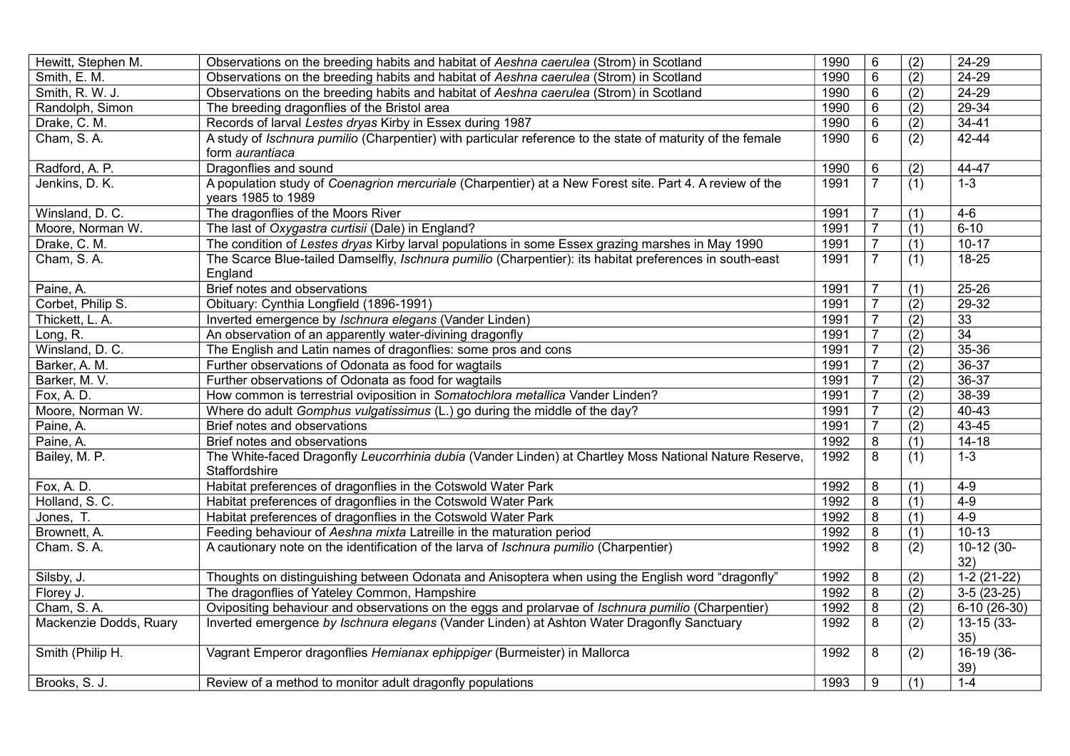| Hewitt, Stephen M.     | Observations on the breeding habits and habitat of Aeshna caerulea (Strom) in Scotland                     | 1990 | $6\phantom{1}6$ | (2)              | 24-29           |
|------------------------|------------------------------------------------------------------------------------------------------------|------|-----------------|------------------|-----------------|
| Smith, E. M.           | Observations on the breeding habits and habitat of Aeshna caerulea (Strom) in Scotland                     | 1990 | $\,6\,$         | (2)              | 24-29           |
| Smith, R. W. J.        | Observations on the breeding habits and habitat of Aeshna caerulea (Strom) in Scotland                     | 1990 | $\,6$           | (2)              | 24-29           |
| Randolph, Simon        | The breeding dragonflies of the Bristol area                                                               | 1990 | $6\phantom{1}6$ | (2)              | 29-34           |
| Drake, C. M.           | Records of larval Lestes dryas Kirby in Essex during 1987                                                  | 1990 | 6               | (2)              | $34 - 41$       |
| Cham, S.A.             | A study of Ischnura pumilio (Charpentier) with particular reference to the state of maturity of the female | 1990 | 6               | (2)              | 42-44           |
|                        | form aurantiaca                                                                                            |      |                 |                  |                 |
| Radford, A. P.         | Dragonflies and sound                                                                                      | 1990 | 6               | (2)              | 44-47           |
| Jenkins, D. K.         | A population study of Coenagrion mercuriale (Charpentier) at a New Forest site. Part 4. A review of the    | 1991 | $\overline{7}$  | $\overline{(1)}$ | $1 - 3$         |
|                        | years 1985 to 1989                                                                                         |      |                 |                  |                 |
| Winsland, D. C.        | The dragonflies of the Moors River                                                                         | 1991 | $\overline{7}$  | (1)              | $4-6$           |
| Moore, Norman W.       | The last of Oxygastra curtisii (Dale) in England?                                                          | 1991 | $\overline{7}$  | (1)              | $6 - 10$        |
| Drake, C. M.           | The condition of Lestes dryas Kirby larval populations in some Essex grazing marshes in May 1990           | 1991 | $\overline{7}$  | (1)              | $10 - 17$       |
| Cham, S.A.             | The Scarce Blue-tailed Damselfly, Ischnura pumilio (Charpentier): its habitat preferences in south-east    | 1991 | $\overline{7}$  | (1)              | 18-25           |
|                        | England                                                                                                    |      |                 |                  |                 |
| Paine, A.              | Brief notes and observations                                                                               | 1991 | $\overline{7}$  | (1)              | $25 - 26$       |
| Corbet, Philip S.      | Obituary: Cynthia Longfield (1896-1991)                                                                    | 1991 | $\overline{7}$  | (2)              | 29-32           |
| Thickett, L. A.        | Inverted emergence by Ischnura elegans (Vander Linden)                                                     | 1991 | $\overline{7}$  | (2)              | 33              |
| Long, R.               | An observation of an apparently water-divining dragonfly                                                   | 1991 | $\overline{7}$  | (2)              | $\overline{34}$ |
| Winsland, D. C.        | The English and Latin names of dragonflies: some pros and cons                                             | 1991 | $\overline{7}$  | (2)              | 35-36           |
| Barker, A. M.          | Further observations of Odonata as food for wagtails                                                       | 1991 | $\overline{7}$  | (2)              | $36-37$         |
| Barker, M. V.          | Further observations of Odonata as food for wagtails                                                       | 1991 | $\overline{7}$  | (2)              | 36-37           |
| Fox, A. D.             | How common is terrestrial oviposition in Somatochlora metallica Vander Linden?                             | 1991 | $\overline{7}$  | (2)              | 38-39           |
| Moore, Norman W.       | Where do adult Gomphus vulgatissimus (L.) go during the middle of the day?                                 | 1991 | $\overline{7}$  | (2)              | $40 - 43$       |
| Paine, A.              | Brief notes and observations                                                                               | 1991 | $\overline{7}$  | (2)              | 43-45           |
| Paine, A.              | Brief notes and observations                                                                               | 1992 | $\overline{8}$  | (1)              | $14 - 18$       |
| Bailey, M. P.          | The White-faced Dragonfly Leucorrhinia dubia (Vander Linden) at Chartley Moss National Nature Reserve,     | 1992 | 8               | (1)              | $1 - 3$         |
|                        | Staffordshire                                                                                              |      |                 |                  |                 |
| Fox, A. D.             | Habitat preferences of dragonflies in the Cotswold Water Park                                              | 1992 | 8               | (1)              | $4-9$           |
| Holland, S. C.         | Habitat preferences of dragonflies in the Cotswold Water Park                                              | 1992 | $\bf 8$         | (1)              | $4-9$           |
| Jones, T.              | Habitat preferences of dragonflies in the Cotswold Water Park                                              | 1992 | $\bf 8$         | (1)              | $4-9$           |
| Brownett, A.           | Feeding behaviour of Aeshna mixta Latreille in the maturation period                                       | 1992 | $\bf 8$         | (1)              | $10 - 13$       |
| Cham. S.A.             | A cautionary note on the identification of the larva of Ischnura pumilio (Charpentier)                     | 1992 | 8               | (2)              | $10-12(30-$     |
|                        |                                                                                                            |      |                 |                  | 32)             |
| Silsby, J.             | Thoughts on distinguishing between Odonata and Anisoptera when using the English word "dragonfly"          | 1992 | 8               | (2)              | $1-2(21-22)$    |
| Florey J.              | The dragonflies of Yateley Common, Hampshire                                                               | 1992 | $\bf 8$         | (2)              | $3-5(23-25)$    |
| Cham, S.A.             | Ovipositing behaviour and observations on the eggs and prolarvae of Ischnura pumilio (Charpentier)         | 1992 | $\overline{8}$  | $\overline{(2)}$ | $6-10(26-30)$   |
| Mackenzie Dodds, Ruary | Inverted emergence by Ischnura elegans (Vander Linden) at Ashton Water Dragonfly Sanctuary                 | 1992 | 8               | (2)              | $13-15(33-$     |
|                        |                                                                                                            |      |                 |                  | 35)             |
| Smith (Philip H.       | Vagrant Emperor dragonflies Hemianax ephippiger (Burmeister) in Mallorca                                   | 1992 | 8               | (2)              | $16-19(36-$     |
|                        |                                                                                                            |      |                 |                  | 39)             |
| Brooks, S. J.          | Review of a method to monitor adult dragonfly populations                                                  | 1993 | 9               | (1)              | $1 - 4$         |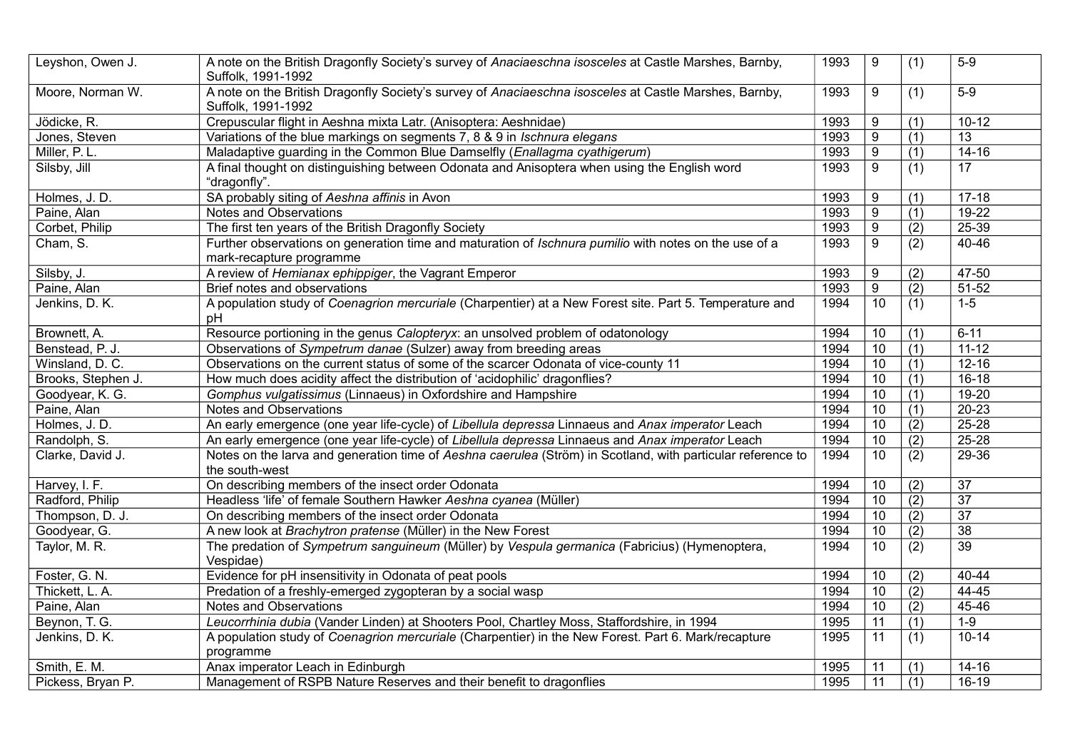| Leyshon, Owen J.   | A note on the British Dragonfly Society's survey of Anaciaeschna isosceles at Castle Marshes, Barnby,<br>Suffolk, 1991-1992       | 1993 | 9                | (1)              | $5-9$           |
|--------------------|-----------------------------------------------------------------------------------------------------------------------------------|------|------------------|------------------|-----------------|
| Moore, Norman W.   | A note on the British Dragonfly Society's survey of Anaciaeschna isosceles at Castle Marshes, Barnby,<br>Suffolk, 1991-1992       | 1993 | 9                | (1)              | $5-9$           |
| Jödicke, R.        | Crepuscular flight in Aeshna mixta Latr. (Anisoptera: Aeshnidae)                                                                  | 1993 | 9                | (1)              | $10 - 12$       |
| Jones, Steven      | Variations of the blue markings on segments 7, 8 & 9 in Ischnura elegans                                                          | 1993 | $\overline{9}$   | $\overline{(1)}$ | $\overline{13}$ |
| Miller, P. L.      | Maladaptive guarding in the Common Blue Damselfly (Enallagma cyathigerum)                                                         | 1993 | 9                | $\overline{(1)}$ | $14 - 16$       |
| Silsby, Jill       | A final thought on distinguishing between Odonata and Anisoptera when using the English word<br>"dragonfly".                      | 1993 | $\overline{9}$   | (1)              | $\overline{17}$ |
| Holmes, J. D.      | SA probably siting of Aeshna affinis in Avon                                                                                      | 1993 | 9                | (1)              | $17 - 18$       |
| Paine, Alan        | Notes and Observations                                                                                                            | 1993 | $\boldsymbol{9}$ | (1)              | $19-22$         |
| Corbet, Philip     | The first ten years of the British Dragonfly Society                                                                              | 1993 | $9$              | (2)              | $25 - 39$       |
| Cham, S.           | Further observations on generation time and maturation of Ischnura pumilio with notes on the use of a<br>mark-recapture programme | 1993 | 9                | (2)              | 40-46           |
| Silsby, J.         | A review of Hemianax ephippiger, the Vagrant Emperor                                                                              | 1993 | 9                | (2)              | 47-50           |
| Paine, Alan        | Brief notes and observations                                                                                                      | 1993 | $\boldsymbol{9}$ | (2)              | 51-52           |
| Jenkins, D. K.     | A population study of Coenagrion mercuriale (Charpentier) at a New Forest site. Part 5. Temperature and<br>рH                     | 1994 | 10               | (1)              | $1 - 5$         |
| Brownett, A.       | Resource portioning in the genus Calopteryx: an unsolved problem of odatonology                                                   | 1994 | 10               | (1)              | $6 - 11$        |
| Benstead, P. J.    | Observations of Sympetrum danae (Sulzer) away from breeding areas                                                                 | 1994 | 10               | $\overline{(1)}$ | $11 - 12$       |
| Winsland, D. C.    | Observations on the current status of some of the scarcer Odonata of vice-county 11                                               | 1994 | $\overline{10}$  | $\overline{(1)}$ | $12 - 16$       |
| Brooks, Stephen J. | How much does acidity affect the distribution of 'acidophilic' dragonflies?                                                       | 1994 | 10               | (1)              | $16 - 18$       |
| Goodyear, K. G.    | Gomphus vulgatissimus (Linnaeus) in Oxfordshire and Hampshire                                                                     | 1994 | 10               | (1)              | $19 - 20$       |
| Paine, Alan        | Notes and Observations                                                                                                            | 1994 | 10               | (1)              | $20 - 23$       |
| Holmes, J. D.      | An early emergence (one year life-cycle) of Libellula depressa Linnaeus and Anax imperator Leach                                  | 1994 | 10               | (2)              | $25 - 28$       |
| Randolph, S.       | An early emergence (one year life-cycle) of Libellula depressa Linnaeus and Anax imperator Leach                                  | 1994 | 10               | $\overline{(2)}$ | $25 - 28$       |
| Clarke, David J.   | Notes on the larva and generation time of Aeshna caerulea (Ström) in Scotland, with particular reference to<br>the south-west     | 1994 | 10               | (2)              | 29-36           |
| Harvey, I. F.      | On describing members of the insect order Odonata                                                                                 | 1994 | 10               | $\overline{(2)}$ | $\overline{37}$ |
| Radford, Philip    | Headless 'life' of female Southern Hawker Aeshna cyanea (Müller)                                                                  | 1994 | 10               | $\overline{(2)}$ | $\overline{37}$ |
| Thompson, D. J.    | On describing members of the insect order Odonata                                                                                 | 1994 | 10               | (2)              | 37              |
| Goodyear, G.       | A new look at Brachytron pratense (Müller) in the New Forest                                                                      | 1994 | $\overline{10}$  | $\overline{(2)}$ | $\overline{38}$ |
| Taylor, M. R.      | The predation of Sympetrum sanguineum (Müller) by Vespula germanica (Fabricius) (Hymenoptera,<br>Vespidae)                        | 1994 | $\overline{10}$  | (2)              | $\overline{39}$ |
| Foster, G. N.      | Evidence for pH insensitivity in Odonata of peat pools                                                                            | 1994 | 10               | (2)              | 40-44           |
| Thickett, L. A.    | Predation of a freshly-emerged zygopteran by a social wasp                                                                        | 1994 | 10               | (2)              | 44-45           |
| Paine, Alan        | Notes and Observations                                                                                                            | 1994 | $\overline{10}$  | $\overline{(2)}$ | $45 - 46$       |
| Beynon, T. G.      | Leucorrhinia dubia (Vander Linden) at Shooters Pool, Chartley Moss, Staffordshire, in 1994                                        | 1995 | 11               | (1)              | $1-9$           |
| Jenkins, D. K.     | A population study of Coenagrion mercuriale (Charpentier) in the New Forest. Part 6. Mark/recapture<br>programme                  | 1995 | 11               | (1)              | $10 - 14$       |
| Smith, E. M.       | Anax imperator Leach in Edinburgh                                                                                                 | 1995 | 11               | (1)              | $14 - 16$       |
| Pickess, Bryan P.  | Management of RSPB Nature Reserves and their benefit to dragonflies                                                               | 1995 | 11               | $\overline{(1)}$ | 16-19           |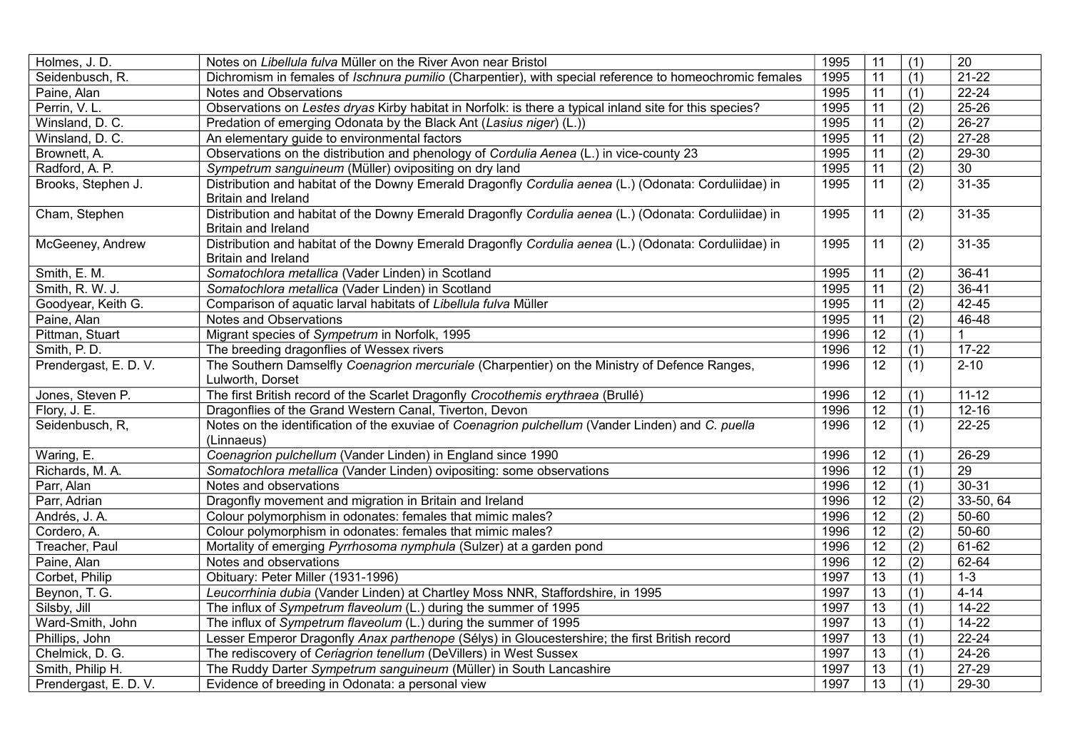| Holmes, J. D.         | Notes on Libellula fulva Müller on the River Avon near Bristol                                                                      | 1995 | 11              | (1)              | $\overline{20}$ |
|-----------------------|-------------------------------------------------------------------------------------------------------------------------------------|------|-----------------|------------------|-----------------|
| Seidenbusch, R.       | Dichromism in females of Ischnura pumilio (Charpentier), with special reference to homeochromic females                             | 1995 | 11              | (1)              | $21 - 22$       |
| Paine, Alan           | Notes and Observations                                                                                                              | 1995 | $\overline{11}$ | (1)              | $22 - 24$       |
| Perrin, V.L.          | Observations on Lestes dryas Kirby habitat in Norfolk: is there a typical inland site for this species?                             | 1995 | 11              | (2)              | 25-26           |
| Winsland, D. C.       | Predation of emerging Odonata by the Black Ant (Lasius niger) (L.))                                                                 | 1995 | $\overline{11}$ | (2)              | $26-27$         |
| Winsland, D. C.       | An elementary guide to environmental factors                                                                                        | 1995 | $\overline{11}$ | (2)              | $27 - 28$       |
| Brownett, A.          | Observations on the distribution and phenology of Cordulia Aenea (L.) in vice-county 23                                             | 1995 | $\overline{11}$ | (2)              | $29 - 30$       |
| Radford, A. P.        | Sympetrum sanguineum (Müller) ovipositing on dry land                                                                               | 1995 | $\overline{11}$ | (2)              | 30              |
| Brooks, Stephen J.    | Distribution and habitat of the Downy Emerald Dragonfly Cordulia aenea (L.) (Odonata: Corduliidae) in<br>Britain and Ireland        | 1995 | 11              | (2)              | $31 - 35$       |
| Cham, Stephen         | Distribution and habitat of the Downy Emerald Dragonfly Cordulia aenea (L.) (Odonata: Corduliidae) in<br><b>Britain and Ireland</b> | 1995 | $\overline{11}$ | $\overline{(2)}$ | $31 - 35$       |
| McGeeney, Andrew      | Distribution and habitat of the Downy Emerald Dragonfly Cordulia aenea (L.) (Odonata: Corduliidae) in<br><b>Britain and Ireland</b> | 1995 | 11              | (2)              | $31 - 35$       |
| Smith, E. M.          | Somatochlora metallica (Vader Linden) in Scotland                                                                                   | 1995 | 11              | (2)              | $36 - 41$       |
| Smith, R. W. J.       | Somatochlora metallica (Vader Linden) in Scotland                                                                                   | 1995 | 11              | (2)              | $36 - 41$       |
| Goodyear, Keith G.    | Comparison of aquatic larval habitats of Libellula fulva Müller                                                                     | 1995 | 11              | (2)              | 42-45           |
| Paine, Alan           | Notes and Observations                                                                                                              | 1995 | 11              | (2)              | 46-48           |
| Pittman, Stuart       | Migrant species of Sympetrum in Norfolk, 1995                                                                                       | 1996 | $\overline{12}$ | (1)              | 1               |
| Smith, P.D.           | The breeding dragonflies of Wessex rivers                                                                                           | 1996 | $\overline{12}$ | (1)              | $17-22$         |
| Prendergast, E. D. V. | The Southern Damselfly Coenagrion mercuriale (Charpentier) on the Ministry of Defence Ranges,<br>Lulworth, Dorset                   | 1996 | $\overline{12}$ | (1)              | $2 - 10$        |
| Jones, Steven P.      | The first British record of the Scarlet Dragonfly Crocothemis erythraea (Brullé)                                                    | 1996 | 12              | (1)              | $11 - 12$       |
| Flory, J. E.          | Dragonflies of the Grand Western Canal, Tiverton, Devon                                                                             | 1996 | 12              | (1)              | $12 - 16$       |
| Seidenbusch, R,       | Notes on the identification of the exuviae of Coenagrion pulchellum (Vander Linden) and C. puella<br>(Linnaeus)                     | 1996 | $\overline{12}$ | (1)              | $22 - 25$       |
| Waring, E.            | Coenagrion pulchellum (Vander Linden) in England since 1990                                                                         | 1996 | 12              | (1)              | $26 - 29$       |
| Richards, M. A.       | Somatochlora metallica (Vander Linden) ovipositing: some observations                                                               | 1996 | $\overline{12}$ | $\overline{(1)}$ | $\overline{29}$ |
| Parr, Alan            | Notes and observations                                                                                                              | 1996 | $\overline{12}$ | (1)              | $30 - 31$       |
| Parr, Adrian          | Dragonfly movement and migration in Britain and Ireland                                                                             | 1996 | $\overline{12}$ | $\overline{(2)}$ | 33-50, 64       |
| Andrés, J. A.         | Colour polymorphism in odonates: females that mimic males?                                                                          | 1996 | $\overline{12}$ | $\overline{(2)}$ | $50 - 60$       |
| Cordero, A.           | Colour polymorphism in odonates: females that mimic males?                                                                          | 1996 | $\overline{12}$ | $\overline{(2)}$ | $50 - 60$       |
| Treacher, Paul        | Mortality of emerging Pyrrhosoma nymphula (Sulzer) at a garden pond                                                                 | 1996 | $\overline{12}$ | (2)              | $61-62$         |
| Paine, Alan           | Notes and observations                                                                                                              | 1996 | $\overline{12}$ | (2)              | $62 - 64$       |
| Corbet, Philip        | Obituary: Peter Miller (1931-1996)                                                                                                  | 1997 | $\overline{13}$ | $\overline{(1)}$ | $1 - 3$         |
| Beynon, T. G.         | Leucorrhinia dubia (Vander Linden) at Chartley Moss NNR, Staffordshire, in 1995                                                     | 1997 | $\overline{13}$ | (1)              | $4 - 14$        |
| Silsby, Jill          | The influx of Sympetrum flaveolum (L.) during the summer of 1995                                                                    | 1997 | $\overline{13}$ | (1)              | $14 - 22$       |
| Ward-Smith, John      | The influx of Sympetrum flaveolum (L.) during the summer of 1995                                                                    | 1997 | $\overline{13}$ | (1)              | $14 - 22$       |
| Phillips, John        | Lesser Emperor Dragonfly Anax parthenope (Sélys) in Gloucestershire; the first British record                                       | 1997 | $\overline{13}$ | (1)              | $22 - 24$       |
| Chelmick, D. G.       | The rediscovery of Ceriagrion tenellum (DeVillers) in West Sussex                                                                   | 1997 | $\overline{13}$ | (1)              | $24 - 26$       |
| Smith, Philip H.      | The Ruddy Darter Sympetrum sanguineum (Müller) in South Lancashire                                                                  | 1997 | $\overline{13}$ | (1)              | $27-29$         |
| Prendergast, E. D. V. | Evidence of breeding in Odonata: a personal view                                                                                    | 1997 | $\overline{13}$ | (1)              | 29-30           |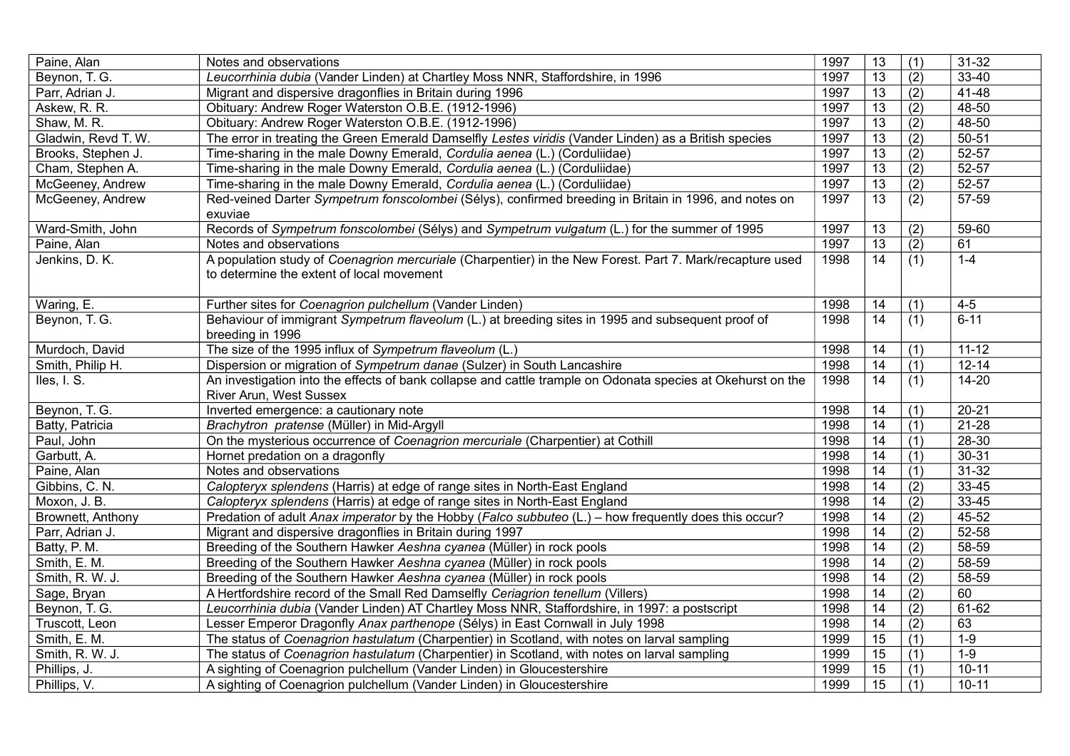| Paine, Alan         | Notes and observations                                                                                                                                | 1997 | 13              | (1) | $31 - 32$ |
|---------------------|-------------------------------------------------------------------------------------------------------------------------------------------------------|------|-----------------|-----|-----------|
| Beynon, T. G.       | Leucorrhinia dubia (Vander Linden) at Chartley Moss NNR, Staffordshire, in 1996                                                                       | 1997 | $\overline{13}$ | (2) | 33-40     |
| Parr, Adrian J.     | Migrant and dispersive dragonflies in Britain during 1996                                                                                             | 1997 | 13              | (2) | 41-48     |
| Askew, R. R.        | Obituary: Andrew Roger Waterston O.B.E. (1912-1996)                                                                                                   | 1997 | 13              | (2) | 48-50     |
| Shaw, M. R.         | Obituary: Andrew Roger Waterston O.B.E. (1912-1996)                                                                                                   | 1997 | 13              | (2) | 48-50     |
| Gladwin, Revd T. W. | The error in treating the Green Emerald Damselfly Lestes viridis (Vander Linden) as a British species                                                 | 1997 | $\overline{13}$ | (2) | $50 - 51$ |
| Brooks, Stephen J.  | Time-sharing in the male Downy Emerald, Cordulia aenea (L.) (Corduliidae)                                                                             | 1997 | 13              | (2) | $52 - 57$ |
| Cham, Stephen A.    | Time-sharing in the male Downy Emerald, Cordulia aenea (L.) (Corduliidae)                                                                             | 1997 | 13              | (2) | 52-57     |
| McGeeney, Andrew    | Time-sharing in the male Downy Emerald, Cordulia aenea (L.) (Corduliidae)                                                                             | 1997 | $\overline{13}$ | (2) | 52-57     |
| McGeeney, Andrew    | Red-veined Darter Sympetrum fonscolombei (Sélys), confirmed breeding in Britain in 1996, and notes on<br>exuviae                                      | 1997 | 13              | (2) | 57-59     |
| Ward-Smith, John    | Records of Sympetrum fonscolombei (Sélys) and Sympetrum vulgatum (L.) for the summer of 1995                                                          | 1997 | 13              | (2) | 59-60     |
| Paine, Alan         | Notes and observations                                                                                                                                | 1997 | $\overline{13}$ | (2) | 61        |
| Jenkins, D. K.      | A population study of Coenagrion mercuriale (Charpentier) in the New Forest. Part 7. Mark/recapture used<br>to determine the extent of local movement | 1998 | 14              | (1) | $1 - 4$   |
| Waring, E.          | Further sites for Coenagrion pulchellum (Vander Linden)                                                                                               | 1998 | 14              | (1) | $4 - 5$   |
| Beynon, T. G.       | Behaviour of immigrant Sympetrum flaveolum (L.) at breeding sites in 1995 and subsequent proof of<br>breeding in 1996                                 | 1998 | 14              | (1) | $6 - 11$  |
| Murdoch, David      | The size of the 1995 influx of Sympetrum flaveolum (L.)                                                                                               | 1998 | 14              | (1) | $11 - 12$ |
| Smith, Philip H.    | Dispersion or migration of Sympetrum danae (Sulzer) in South Lancashire                                                                               | 1998 | 14              | (1) | $12 - 14$ |
| Iles, I. S.         | An investigation into the effects of bank collapse and cattle trample on Odonata species at Okehurst on the<br>River Arun, West Sussex                | 1998 | 14              | (1) | $14 - 20$ |
| Beynon, T. G.       | Inverted emergence: a cautionary note                                                                                                                 | 1998 | 14              | (1) | $20 - 21$ |
| Batty, Patricia     | Brachytron pratense (Müller) in Mid-Argyll                                                                                                            | 1998 | 14              | (1) | $21 - 28$ |
| Paul, John          | On the mysterious occurrence of Coenagrion mercuriale (Charpentier) at Cothill                                                                        | 1998 | 14              | (1) | 28-30     |
| Garbutt, A.         | Hornet predation on a dragonfly                                                                                                                       | 1998 | 14              | (1) | $30 - 31$ |
| Paine, Alan         | Notes and observations                                                                                                                                | 1998 | 14              | (1) | $31 - 32$ |
| Gibbins, C. N.      | Calopteryx splendens (Harris) at edge of range sites in North-East England                                                                            | 1998 | 14              | (2) | $33 - 45$ |
| Moxon, J. B.        | Calopteryx splendens (Harris) at edge of range sites in North-East England                                                                            | 1998 | 14              | (2) | $33 - 45$ |
| Brownett, Anthony   | Predation of adult Anax imperator by the Hobby (Falco subbuteo (L.) - how frequently does this occur?                                                 | 1998 | 14              | (2) | 45-52     |
| Parr, Adrian J.     | Migrant and dispersive dragonflies in Britain during 1997                                                                                             | 1998 | 14              | (2) | 52-58     |
| Batty, P. M.        | Breeding of the Southern Hawker Aeshna cyanea (Müller) in rock pools                                                                                  | 1998 | 14              | (2) | 58-59     |
| Smith, E. M.        | Breeding of the Southern Hawker Aeshna cyanea (Müller) in rock pools                                                                                  | 1998 | 14              | (2) | 58-59     |
| Smith, R. W. J.     | Breeding of the Southern Hawker Aeshna cyanea (Müller) in rock pools                                                                                  | 1998 | 14              | (2) | 58-59     |
| Sage, Bryan         | A Hertfordshire record of the Small Red Damselfly Ceriagrion tenellum (Villers)                                                                       | 1998 | 14              | (2) | 60        |
| Beynon, T. G.       | Leucorrhinia dubia (Vander Linden) AT Chartley Moss NNR, Staffordshire, in 1997: a postscript                                                         | 1998 | $\overline{14}$ | (2) | $61-62$   |
| Truscott, Leon      | Lesser Emperor Dragonfly Anax parthenope (Sélys) in East Cornwall in July 1998                                                                        | 1998 | 14              | (2) | 63        |
| Smith, E. M.        | The status of Coenagrion hastulatum (Charpentier) in Scotland, with notes on larval sampling                                                          | 1999 | $\overline{15}$ | (1) | $1 - 9$   |
| Smith, R. W. J.     | The status of Coenagrion hastulatum (Charpentier) in Scotland, with notes on larval sampling                                                          | 1999 | 15              | (1) | $1 - 9$   |
| Phillips, J.        | A sighting of Coenagrion pulchellum (Vander Linden) in Gloucestershire                                                                                | 1999 | $\overline{15}$ | (1) | $10 - 11$ |
| Phillips, V.        | A sighting of Coenagrion pulchellum (Vander Linden) in Gloucestershire                                                                                | 1999 | 15              | (1) | $10 - 11$ |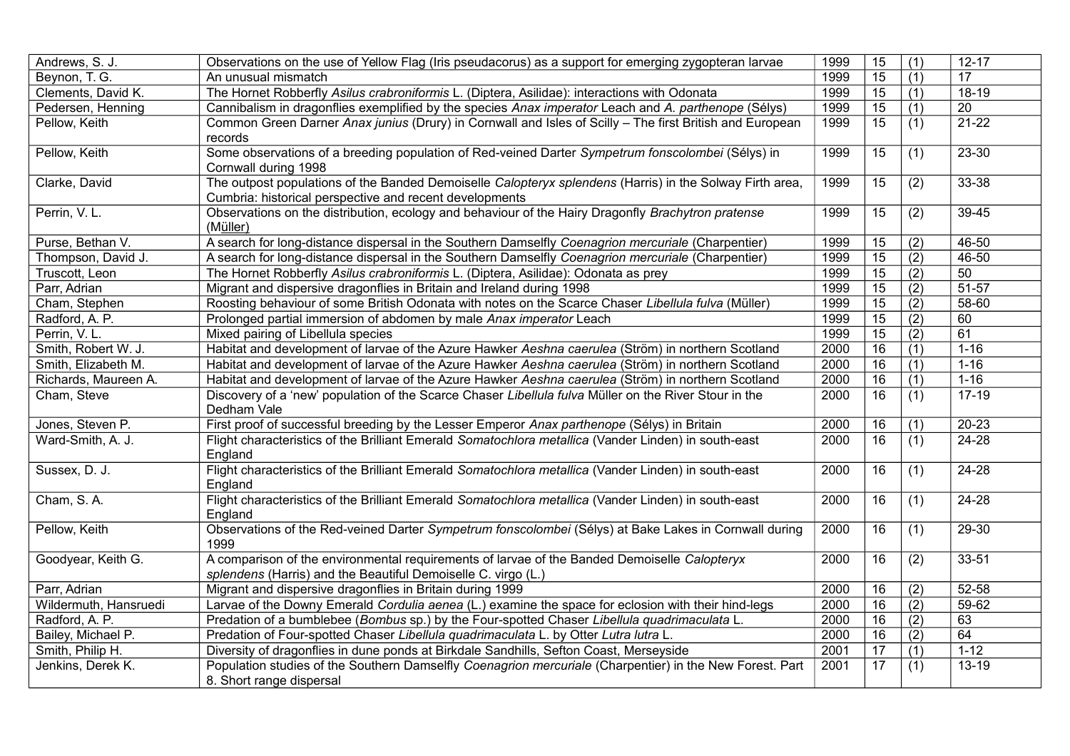| Andrews, S. J.        | Observations on the use of Yellow Flag (Iris pseudacorus) as a support for emerging zygopteran larvae    | 1999 | 15              | (1)              | $12 - 17$            |
|-----------------------|----------------------------------------------------------------------------------------------------------|------|-----------------|------------------|----------------------|
| Beynon, T. G.         | An unusual mismatch                                                                                      | 1999 | $\overline{15}$ | (1)              | 17                   |
| Clements, David K.    | The Hornet Robberfly Asilus crabroniformis L. (Diptera, Asilidae): interactions with Odonata             | 1999 | 15              | (1)              | $18-19$              |
| Pedersen, Henning     | Cannibalism in dragonflies exemplified by the species Anax imperator Leach and A. parthenope (Sélys)     | 1999 | 15              | (1)              | $\overline{20}$      |
| Pellow, Keith         | Common Green Darner Anax junius (Drury) in Cornwall and Isles of Scilly - The first British and European | 1999 | 15              | (1)              | $21 - 22$            |
|                       | records                                                                                                  |      |                 |                  |                      |
| Pellow, Keith         | Some observations of a breeding population of Red-veined Darter Sympetrum fonscolombei (Sélys) in        | 1999 | 15              | (1)              | $23 - 30$            |
|                       | Cornwall during 1998                                                                                     |      |                 |                  |                      |
| Clarke, David         | The outpost populations of the Banded Demoiselle Calopteryx splendens (Harris) in the Solway Firth area, | 1999 | 15              | (2)              | 33-38                |
|                       | Cumbria: historical perspective and recent developments                                                  |      |                 |                  |                      |
| Perrin, V.L.          | Observations on the distribution, ecology and behaviour of the Hairy Dragonfly Brachytron pratense       | 1999 | 15              | (2)              | 39-45                |
|                       | (Müller)                                                                                                 |      |                 |                  |                      |
| Purse, Bethan V.      | A search for long-distance dispersal in the Southern Damselfly Coenagrion mercuriale (Charpentier)       | 1999 | 15              | (2)              | 46-50                |
| Thompson, David J.    | A search for long-distance dispersal in the Southern Damselfly Coenagrion mercuriale (Charpentier)       | 1999 | 15              | (2)              | 46-50                |
| Truscott, Leon        | The Hornet Robberfly Asilus crabroniformis L. (Diptera, Asilidae): Odonata as prey                       | 1999 | $\overline{15}$ | $\overline{(2)}$ | 50                   |
| Parr, Adrian          | Migrant and dispersive dragonflies in Britain and Ireland during 1998                                    | 1999 | $\overline{15}$ | $\overline{(2)}$ | $51 - 57$            |
| Cham, Stephen         | Roosting behaviour of some British Odonata with notes on the Scarce Chaser Libellula fulva (Müller)      | 1999 | 15              | (2)              | $\overline{58} - 60$ |
| Radford, A. P.        | Prolonged partial immersion of abdomen by male Anax imperator Leach                                      | 1999 | 15              | (2)              | 60                   |
| Perrin, V.L.          | Mixed pairing of Libellula species                                                                       | 1999 | 15              | (2)              | 61                   |
| Smith, Robert W. J.   | Habitat and development of larvae of the Azure Hawker Aeshna caerulea (Ström) in northern Scotland       | 2000 | $\overline{16}$ | $\overline{(1)}$ | $1 - 16$             |
| Smith, Elizabeth M.   | Habitat and development of larvae of the Azure Hawker Aeshna caerulea (Ström) in northern Scotland       | 2000 | 16              | (1)              | $1 - 16$             |
| Richards, Maureen A.  | Habitat and development of larvae of the Azure Hawker Aeshna caerulea (Ström) in northern Scotland       | 2000 | 16              | (1)              | $1 - 16$             |
| Cham, Steve           | Discovery of a 'new' population of the Scarce Chaser Libellula fulva Müller on the River Stour in the    | 2000 | 16              | (1)              | $17-19$              |
|                       | Dedham Vale                                                                                              |      |                 |                  |                      |
| Jones, Steven P.      | First proof of successful breeding by the Lesser Emperor Anax parthenope (Sélys) in Britain              | 2000 | 16              | $\overline{(1)}$ | $20 - 23$            |
| Ward-Smith, A. J.     | Flight characteristics of the Brilliant Emerald Somatochlora metallica (Vander Linden) in south-east     | 2000 | 16              | (1)              | $24 - 28$            |
|                       | England                                                                                                  |      |                 |                  |                      |
| Sussex, D. J.         | Flight characteristics of the Brilliant Emerald Somatochlora metallica (Vander Linden) in south-east     | 2000 | 16              | (1)              | $24 - 28$            |
|                       | England                                                                                                  |      |                 |                  |                      |
| Cham, S.A.            | Flight characteristics of the Brilliant Emerald Somatochlora metallica (Vander Linden) in south-east     | 2000 | 16              | (1)              | 24-28                |
|                       | England                                                                                                  |      |                 |                  |                      |
| Pellow, Keith         | Observations of the Red-veined Darter Sympetrum fonscolombei (Sélys) at Bake Lakes in Cornwall during    | 2000 | 16              | (1)              | $29 - 30$            |
|                       | 1999                                                                                                     |      |                 |                  |                      |
| Goodyear, Keith G.    | A comparison of the environmental requirements of larvae of the Banded Demoiselle Calopteryx             | 2000 | $\overline{16}$ | (2)              | $33 - 51$            |
|                       | splendens (Harris) and the Beautiful Demoiselle C. virgo (L.)                                            |      |                 |                  |                      |
| Parr, Adrian          | Migrant and dispersive dragonflies in Britain during 1999                                                | 2000 | 16              | (2)              | 52-58                |
| Wildermuth, Hansruedi | Larvae of the Downy Emerald Cordulia aenea (L.) examine the space for eclosion with their hind-legs      | 2000 | $\overline{16}$ | (2)              | 59-62                |
| Radford, A. P.        | Predation of a bumblebee (Bombus sp.) by the Four-spotted Chaser Libellula quadrimaculata L.             | 2000 | 16              | (2)              | 63                   |
| Bailey, Michael P.    | Predation of Four-spotted Chaser Libellula quadrimaculata L. by Otter Lutra lutra L.                     | 2000 | 16              | (2)              | 64                   |
| Smith, Philip H.      | Diversity of dragonflies in dune ponds at Birkdale Sandhills, Sefton Coast, Merseyside                   | 2001 | $\overline{17}$ | (1)              | $1 - 12$             |
| Jenkins, Derek K.     | Population studies of the Southern Damselfly Coenagrion mercuriale (Charpentier) in the New Forest. Part | 2001 | 17              | (1)              | 13-19                |
|                       | 8. Short range dispersal                                                                                 |      |                 |                  |                      |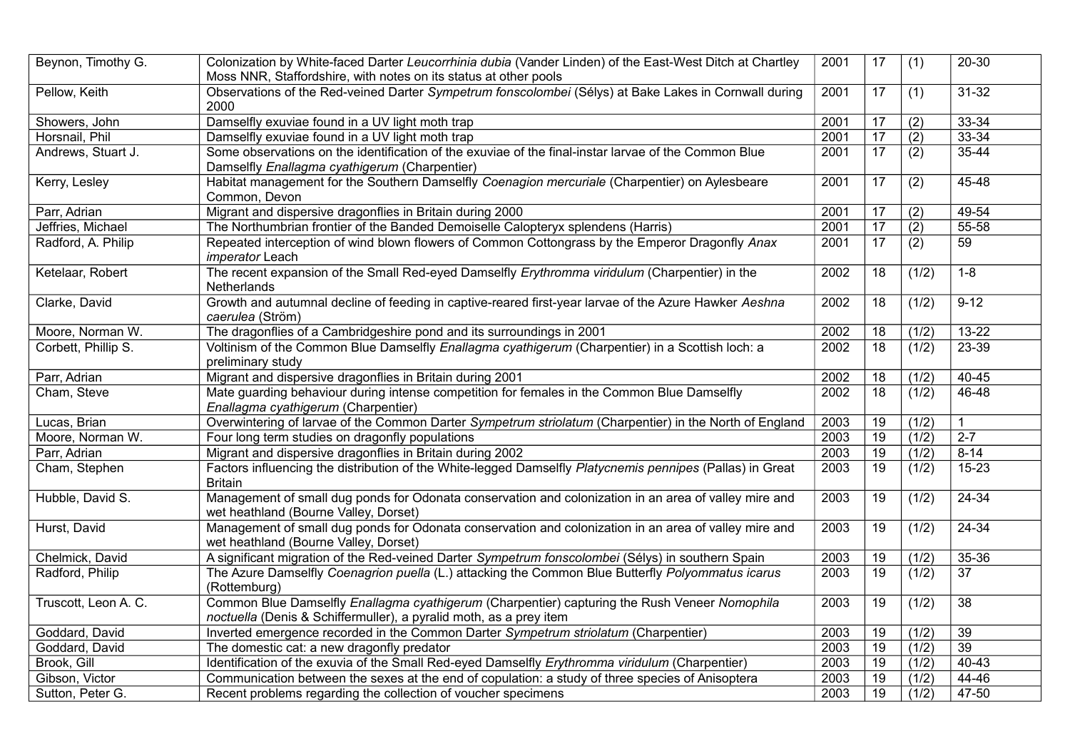| Beynon, Timothy G.   | Colonization by White-faced Darter Leucorrhinia dubia (Vander Linden) of the East-West Ditch at Chartley<br>Moss NNR, Staffordshire, with notes on its status at other pools | 2001              | 17              | (1)              | $20 - 30$        |
|----------------------|------------------------------------------------------------------------------------------------------------------------------------------------------------------------------|-------------------|-----------------|------------------|------------------|
| Pellow, Keith        | Observations of the Red-veined Darter Sympetrum fonscolombei (Sélys) at Bake Lakes in Cornwall during<br>2000                                                                | 2001              | 17              | (1)              | $31 - 32$        |
| Showers, John        | Damselfly exuviae found in a UV light moth trap                                                                                                                              | 2001              | 17              | $\overline{(2)}$ | $33 - 34$        |
| Horsnail, Phil       | Damselfly exuviae found in a UV light moth trap                                                                                                                              | 2001              | $\overline{17}$ | (2)              | $33 - 34$        |
| Andrews, Stuart J.   | Some observations on the identification of the exuviae of the final-instar larvae of the Common Blue<br>Damselfly Enallagma cyathigerum (Charpentier)                        | 2001              | $\overline{17}$ | (2)              | $35 - 44$        |
| Kerry, Lesley        | Habitat management for the Southern Damselfly Coenagion mercuriale (Charpentier) on Aylesbeare<br>Common, Devon                                                              | 2001              | 17              | (2)              | 45-48            |
| Parr, Adrian         | Migrant and dispersive dragonflies in Britain during 2000                                                                                                                    | 2001              | 17              | (2)              | $49 - 54$        |
| Jeffries, Michael    | The Northumbrian frontier of the Banded Demoiselle Calopteryx splendens (Harris)                                                                                             | 2001              | $\overline{17}$ | $\overline{(2)}$ | 55-58            |
| Radford, A. Philip   | Repeated interception of wind blown flowers of Common Cottongrass by the Emperor Dragonfly Anax<br>imperator Leach                                                           | 2001              | 17              | (2)              | 59               |
| Ketelaar, Robert     | The recent expansion of the Small Red-eyed Damselfly Erythromma viridulum (Charpentier) in the<br>Netherlands                                                                | $\overline{2002}$ | 18              | (1/2)            | $1 - 8$          |
| Clarke, David        | Growth and autumnal decline of feeding in captive-reared first-year larvae of the Azure Hawker Aeshna<br>caerulea (Ström)                                                    | 2002              | 18              | (1/2)            | $9-12$           |
| Moore, Norman W.     | The dragonflies of a Cambridgeshire pond and its surroundings in 2001                                                                                                        | 2002              | 18              | (1/2)            | 13-22            |
| Corbett, Phillip S.  | Voltinism of the Common Blue Damselfly Enallagma cyathigerum (Charpentier) in a Scottish loch: a<br>preliminary study                                                        | 2002              | 18              | (1/2)            | 23-39            |
| Parr, Adrian         | Migrant and dispersive dragonflies in Britain during 2001                                                                                                                    | 2002              | 18              | (1/2)            | $40 - 45$        |
| Cham, Steve          | Mate guarding behaviour during intense competition for females in the Common Blue Damselfly<br>Enallagma cyathigerum (Charpentier)                                           | 2002              | $\overline{18}$ | (1/2)            | $46 - 48$        |
| Lucas, Brian         | Overwintering of larvae of the Common Darter Sympetrum striolatum (Charpentier) in the North of England                                                                      | 2003              | 19              | (1/2)            | $\mathbf{1}$     |
| Moore, Norman W.     | Four long term studies on dragonfly populations                                                                                                                              | 2003              | $\overline{19}$ | (1/2)            | $\overline{2-7}$ |
| Parr, Adrian         | Migrant and dispersive dragonflies in Britain during 2002                                                                                                                    | 2003              | $\overline{19}$ | (1/2)            | $8-14$           |
| Cham, Stephen        | Factors influencing the distribution of the White-legged Damselfly Platycnemis pennipes (Pallas) in Great<br><b>Britain</b>                                                  | 2003              | $\overline{19}$ | (1/2)            | $15 - 23$        |
| Hubble, David S.     | Management of small dug ponds for Odonata conservation and colonization in an area of valley mire and<br>wet heathland (Bourne Valley, Dorset)                               | 2003              | 19              | (1/2)            | 24-34            |
| Hurst, David         | Management of small dug ponds for Odonata conservation and colonization in an area of valley mire and<br>wet heathland (Bourne Valley, Dorset)                               | 2003              | $\overline{19}$ | (1/2)            | $24 - 34$        |
| Chelmick, David      | A significant migration of the Red-veined Darter Sympetrum fonscolombei (Sélys) in southern Spain                                                                            | 2003              | 19              | (1/2)            | $35 - 36$        |
| Radford, Philip      | The Azure Damselfly Coenagrion puella (L.) attacking the Common Blue Butterfly Polyommatus icarus<br>(Rottemburg)                                                            | 2003              | $\overline{19}$ | (1/2)            | $\overline{37}$  |
| Truscott, Leon A. C. | Common Blue Damselfly Enallagma cyathigerum (Charpentier) capturing the Rush Veneer Nomophila<br>noctuella (Denis & Schiffermuller), a pyralid moth, as a prey item          | 2003              | 19              | (1/2)            | 38               |
| Goddard, David       | Inverted emergence recorded in the Common Darter Sympetrum striolatum (Charpentier)                                                                                          | 2003              | $\overline{19}$ | (1/2)            | $\overline{39}$  |
| Goddard, David       | The domestic cat: a new dragonfly predator                                                                                                                                   | 2003              | $\overline{19}$ | (1/2)            | $\overline{39}$  |
| Brook, Gill          | Identification of the exuvia of the Small Red-eyed Damselfly Erythromma viridulum (Charpentier)                                                                              | 2003              | $\overline{19}$ | (1/2)            | 40-43            |
| Gibson, Victor       | Communication between the sexes at the end of copulation: a study of three species of Anisoptera                                                                             | 2003              | $\overline{19}$ | (1/2)            | 44-46            |
| Sutton, Peter G.     | Recent problems regarding the collection of voucher specimens                                                                                                                | 2003              | 19              | (1/2)            | 47-50            |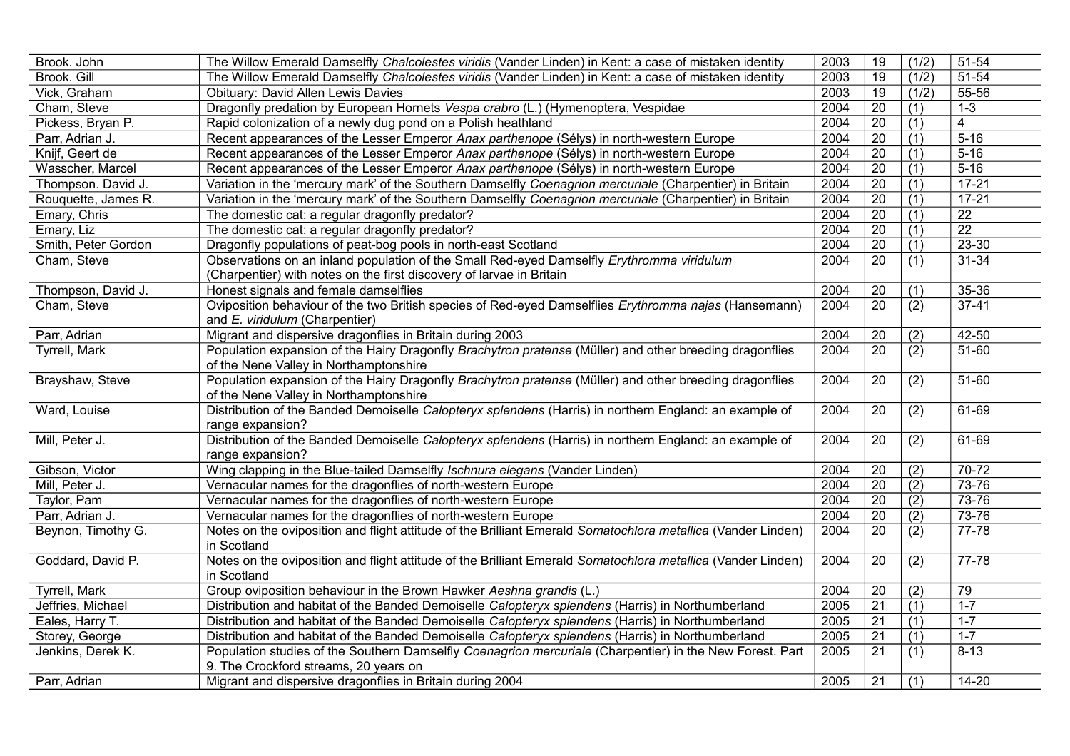| Brook. John         | The Willow Emerald Damselfly Chalcolestes viridis (Vander Linden) in Kent: a case of mistaken identity                      | 2003 | 19              | (1/2)            | 51-54           |
|---------------------|-----------------------------------------------------------------------------------------------------------------------------|------|-----------------|------------------|-----------------|
| Brook. Gill         | The Willow Emerald Damselfly Chalcolestes viridis (Vander Linden) in Kent: a case of mistaken identity                      | 2003 | $\overline{19}$ | (1/2)            | 51-54           |
| Vick, Graham        | Obituary: David Allen Lewis Davies                                                                                          | 2003 | 19              | (1/2)            | 55-56           |
| Cham, Steve         | Dragonfly predation by European Hornets Vespa crabro (L.) (Hymenoptera, Vespidae                                            | 2004 | $\overline{20}$ | (1)              | $1 - 3$         |
| Pickess, Bryan P.   | Rapid colonization of a newly dug pond on a Polish heathland                                                                | 2004 | 20              | $\overline{(1)}$ | $\overline{4}$  |
| Parr, Adrian J.     | Recent appearances of the Lesser Emperor Anax parthenope (Sélys) in north-western Europe                                    | 2004 | $\overline{20}$ | (1)              | $5 - 16$        |
| Knijf, Geert de     | Recent appearances of the Lesser Emperor Anax parthenope (Sélys) in north-western Europe                                    | 2004 | 20              | (1)              | $5 - 16$        |
| Wasscher, Marcel    | Recent appearances of the Lesser Emperor Anax parthenope (Sélys) in north-western Europe                                    | 2004 | $\overline{20}$ | (1)              | $5 - 16$        |
| Thompson. David J.  | Variation in the 'mercury mark' of the Southern Damselfly Coenagrion mercuriale (Charpentier) in Britain                    | 2004 | 20              | (1)              | $17 - 21$       |
| Rouquette, James R. | Variation in the 'mercury mark' of the Southern Damselfly Coenagrion mercuriale (Charpentier) in Britain                    | 2004 | 20              | (1)              | $17 - 21$       |
| Emary, Chris        | The domestic cat: a regular dragonfly predator?                                                                             | 2004 | $\overline{20}$ | (1)              | $\overline{22}$ |
| Emary, Liz          | The domestic cat: a regular dragonfly predator?                                                                             | 2004 | 20              | (1)              | $\overline{22}$ |
| Smith, Peter Gordon | Dragonfly populations of peat-bog pools in north-east Scotland                                                              | 2004 | $\overline{20}$ | (1)              | $23 - 30$       |
| Cham, Steve         | Observations on an inland population of the Small Red-eyed Damselfly Erythromma viridulum                                   | 2004 | 20              | (1)              | $31 - 34$       |
|                     | (Charpentier) with notes on the first discovery of larvae in Britain                                                        |      |                 |                  |                 |
| Thompson, David J.  | Honest signals and female damselflies                                                                                       | 2004 | 20              | (1)              | 35-36           |
| Cham, Steve         | Oviposition behaviour of the two British species of Red-eyed Damselflies Erythromma najas (Hansemann)                       | 2004 | 20              | (2)              | $37-41$         |
|                     | and E. viridulum (Charpentier)                                                                                              |      |                 |                  |                 |
| Parr, Adrian        | Migrant and dispersive dragonflies in Britain during 2003                                                                   | 2004 | $\overline{20}$ | $\overline{(2)}$ | $42 - 50$       |
| Tyrrell, Mark       | Population expansion of the Hairy Dragonfly Brachytron pratense (Müller) and other breeding dragonflies                     | 2004 | $\overline{20}$ | $\overline{(2)}$ | 51-60           |
|                     | of the Nene Valley in Northamptonshire                                                                                      |      |                 |                  |                 |
| Brayshaw, Steve     | Population expansion of the Hairy Dragonfly Brachytron pratense (Müller) and other breeding dragonflies                     | 2004 | 20              | (2)              | $51 - 60$       |
|                     | of the Nene Valley in Northamptonshire                                                                                      |      |                 |                  |                 |
| Ward, Louise        | Distribution of the Banded Demoiselle Calopteryx splendens (Harris) in northern England: an example of<br>range expansion?  | 2004 | 20              | (2)              | 61-69           |
| Mill, Peter J.      | Distribution of the Banded Demoiselle Calopteryx splendens (Harris) in northern England: an example of                      | 2004 | 20              | (2)              | $61-69$         |
|                     | range expansion?                                                                                                            |      |                 |                  |                 |
| Gibson, Victor      | Wing clapping in the Blue-tailed Damselfly Ischnura elegans (Vander Linden)                                                 | 2004 | 20              | (2)              | $70-72$         |
| Mill, Peter J.      | Vernacular names for the dragonflies of north-western Europe                                                                | 2004 | 20              | (2)              | $73 - 76$       |
| Taylor, Pam         | Vernacular names for the dragonflies of north-western Europe                                                                | 2004 | 20              | (2)              | $73 - 76$       |
| Parr, Adrian J.     | Vernacular names for the dragonflies of north-western Europe                                                                | 2004 | $\overline{20}$ | (2)              | $73 - 76$       |
| Beynon, Timothy G.  | Notes on the oviposition and flight attitude of the Brilliant Emerald Somatochlora metallica (Vander Linden)                | 2004 | 20              | (2)              | 77-78           |
|                     | in Scotland                                                                                                                 |      |                 |                  |                 |
| Goddard, David P.   | Notes on the oviposition and flight attitude of the Brilliant Emerald Somatochlora metallica (Vander Linden)<br>in Scotland | 2004 | 20              | (2)              | 77-78           |
| Tyrrell, Mark       | Group oviposition behaviour in the Brown Hawker Aeshna grandis (L.)                                                         | 2004 | 20              | (2)              | 79              |
| Jeffries, Michael   | Distribution and habitat of the Banded Demoiselle Calopteryx splendens (Harris) in Northumberland                           | 2005 | $\overline{21}$ | $\overline{(1)}$ | $1 - 7$         |
| Eales, Harry T.     | Distribution and habitat of the Banded Demoiselle Calopteryx splendens (Harris) in Northumberland                           | 2005 | $\overline{21}$ | $\overline{(1)}$ | $1 - 7$         |
| Storey, George      | Distribution and habitat of the Banded Demoiselle Calopteryx splendens (Harris) in Northumberland                           | 2005 | $\overline{21}$ | (1)              | $1 - 7$         |
| Jenkins, Derek K.   | Population studies of the Southern Damselfly Coenagrion mercuriale (Charpentier) in the New Forest. Part                    | 2005 | 21              | (1)              | $8 - 13$        |
|                     | 9. The Crockford streams, 20 years on                                                                                       |      |                 |                  |                 |
| Parr, Adrian        | Migrant and dispersive dragonflies in Britain during 2004                                                                   | 2005 | 21              | $\overline{(1)}$ | $14 - 20$       |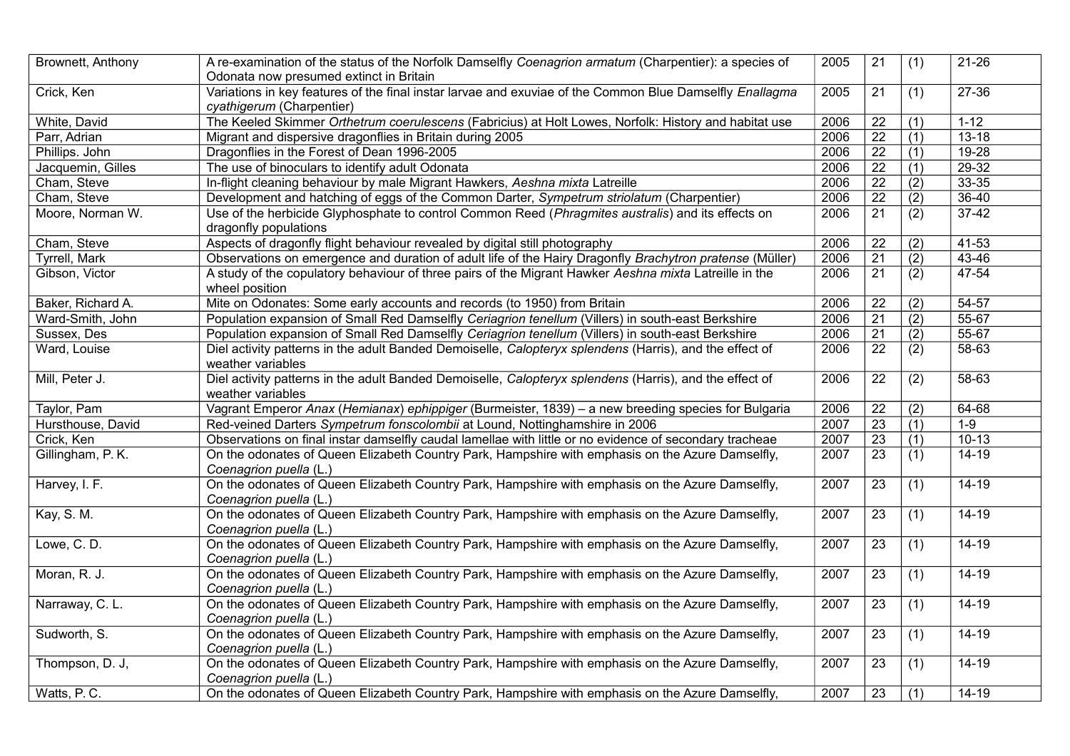| Brownett, Anthony    | A re-examination of the status of the Norfolk Damselfly Coenagrion armatum (Charpentier): a species of<br>Odonata now presumed extinct in Britain | 2005 | 21              | (1)              | $21 - 26$        |
|----------------------|---------------------------------------------------------------------------------------------------------------------------------------------------|------|-----------------|------------------|------------------|
| Crick, Ken           | Variations in key features of the final instar larvae and exuviae of the Common Blue Damselfly Enallagma<br>cyathigerum (Charpentier)             | 2005 | 21              | (1)              | $27 - 36$        |
| White, David         | The Keeled Skimmer Orthetrum coerulescens (Fabricius) at Holt Lowes, Norfolk: History and habitat use                                             | 2006 | 22              | (1)              | $1 - 12$         |
| Parr, Adrian         | Migrant and dispersive dragonflies in Britain during 2005                                                                                         | 2006 | $\overline{22}$ | $\overline{(1)}$ | $13 - 18$        |
| Phillips. John       | Dragonflies in the Forest of Dean 1996-2005                                                                                                       | 2006 | $\overline{22}$ | $\overline{(1)}$ | $19 - 28$        |
| Jacquemin, Gilles    | The use of binoculars to identify adult Odonata                                                                                                   | 2006 | $\overline{22}$ | $\overline{(1)}$ | $29 - 32$        |
| Cham, Steve          | In-flight cleaning behaviour by male Migrant Hawkers, Aeshna mixta Latreille                                                                      | 2006 | $\overline{22}$ | $\overline{(2)}$ | $33 - 35$        |
| Cham, Steve          | Development and hatching of eggs of the Common Darter, Sympetrum striolatum (Charpentier)                                                         | 2006 | $\overline{22}$ | $\overline{(2)}$ | $36 - 40$        |
| Moore, Norman W.     | Use of the herbicide Glyphosphate to control Common Reed (Phragmites australis) and its effects on<br>dragonfly populations                       | 2006 | $\overline{21}$ | (2)              | $37-42$          |
| Cham, Steve          | Aspects of dragonfly flight behaviour revealed by digital still photography                                                                       | 2006 | 22              | (2)              | $41 - 53$        |
| <b>Tyrrell, Mark</b> | Observations on emergence and duration of adult life of the Hairy Dragonfly Brachytron pratense (Müller)                                          | 2006 | $\overline{21}$ | (2)              | $43 - 46$        |
| Gibson, Victor       | A study of the copulatory behaviour of three pairs of the Migrant Hawker Aeshna mixta Latreille in the<br>wheel position                          | 2006 | $\overline{21}$ | (2)              | 47-54            |
| Baker, Richard A.    | Mite on Odonates: Some early accounts and records (to 1950) from Britain                                                                          | 2006 | 22              | (2)              | $54 - 57$        |
| Ward-Smith, John     | Population expansion of Small Red Damselfly Ceriagrion tenellum (Villers) in south-east Berkshire                                                 | 2006 | $\overline{21}$ | (2)              | 55-67            |
| Sussex, Des          | Population expansion of Small Red Damselfly Ceriagrion tenellum (Villers) in south-east Berkshire                                                 | 2006 | 21              | (2)              | 55-67            |
| Ward, Louise         | Diel activity patterns in the adult Banded Demoiselle, Calopteryx splendens (Harris), and the effect of<br>weather variables                      | 2006 | 22              | (2)              | 58-63            |
| Mill, Peter J.       | Diel activity patterns in the adult Banded Demoiselle, Calopteryx splendens (Harris), and the effect of<br>weather variables                      | 2006 | $\overline{22}$ | (2)              | $58 - 63$        |
| Taylor, Pam          | Vagrant Emperor Anax (Hemianax) ephippiger (Burmeister, 1839) - a new breeding species for Bulgaria                                               | 2006 | 22              | (2)              | 64-68            |
| Hursthouse, David    | Red-veined Darters Sympetrum fonscolombii at Lound, Nottinghamshire in 2006                                                                       | 2007 | $\overline{23}$ | (1)              | $\overline{1-9}$ |
| Crick, Ken           | Observations on final instar damselfly caudal lamellae with little or no evidence of secondary tracheae                                           | 2007 | $\overline{23}$ | (1)              | $10-13$          |
| Gillingham, P.K.     | On the odonates of Queen Elizabeth Country Park, Hampshire with emphasis on the Azure Damselfly,<br>Coenagrion puella (L.)                        | 2007 | $\overline{23}$ | (1)              | $14 - 19$        |
| Harvey, I. F.        | On the odonates of Queen Elizabeth Country Park, Hampshire with emphasis on the Azure Damselfly,<br>Coenagrion puella (L.)                        | 2007 | 23              | (1)              | $14 - 19$        |
| Kay, S. M.           | On the odonates of Queen Elizabeth Country Park, Hampshire with emphasis on the Azure Damselfly,<br>Coenagrion puella (L.)                        | 2007 | 23              | (1)              | $14 - 19$        |
| Lowe, C.D.           | On the odonates of Queen Elizabeth Country Park, Hampshire with emphasis on the Azure Damselfly,<br>Coenagrion puella (L.)                        | 2007 | 23              | $\overline{(1)}$ | $14 - 19$        |
| Moran, R. J.         | On the odonates of Queen Elizabeth Country Park, Hampshire with emphasis on the Azure Damselfly,<br>Coenagrion puella (L.)                        | 2007 | 23              | (1)              | $14-19$          |
| Narraway, C. L.      | On the odonates of Queen Elizabeth Country Park, Hampshire with emphasis on the Azure Damselfly,<br>Coenagrion puella (L.)                        | 2007 | 23              | (1)              | $14 - 19$        |
| Sudworth, S.         | On the odonates of Queen Elizabeth Country Park, Hampshire with emphasis on the Azure Damselfly,<br>Coenagrion puella (L.)                        | 2007 | $\overline{23}$ | (1)              | $14 - 19$        |
| Thompson, D. J,      | On the odonates of Queen Elizabeth Country Park, Hampshire with emphasis on the Azure Damselfly,<br>Coenagrion puella (L.)                        | 2007 | 23              | (1)              | 14-19            |
| Watts, P.C.          | On the odonates of Queen Elizabeth Country Park, Hampshire with emphasis on the Azure Damselfly,                                                  | 2007 | $\overline{23}$ | $\overline{(1)}$ | $14-19$          |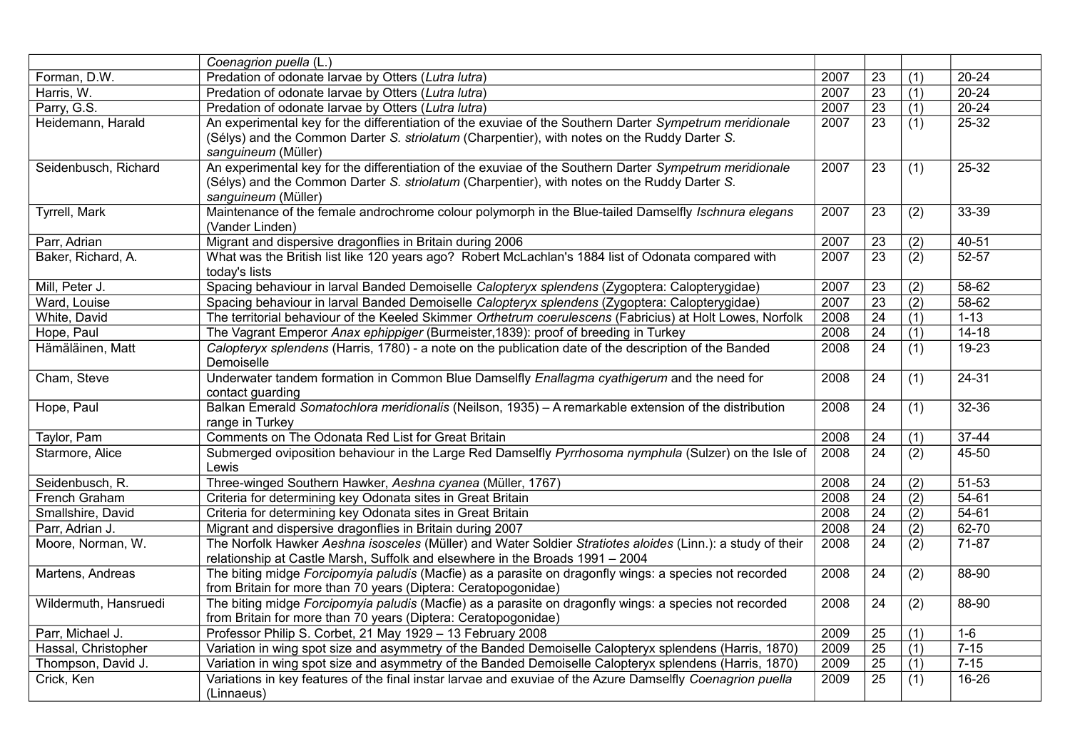|                       | Coenagrion puella (L.)                                                                                      |      |                 |                  |           |
|-----------------------|-------------------------------------------------------------------------------------------------------------|------|-----------------|------------------|-----------|
| Forman, D.W.          | Predation of odonate larvae by Otters (Lutra lutra)                                                         | 2007 | 23              | (1)              | $20 - 24$ |
| Harris, W.            | Predation of odonate larvae by Otters (Lutra lutra)                                                         | 2007 | $\overline{23}$ | (1)              | $20 - 24$ |
| Parry, G.S.           | Predation of odonate larvae by Otters (Lutra lutra)                                                         | 2007 | 23              | (1)              | $20 - 24$ |
| Heidemann, Harald     | An experimental key for the differentiation of the exuviae of the Southern Darter Sympetrum meridionale     | 2007 | $\overline{23}$ | (1)              | 25-32     |
|                       | (Sélys) and the Common Darter S. striolatum (Charpentier), with notes on the Ruddy Darter S.                |      |                 |                  |           |
|                       | sanguineum (Müller)                                                                                         |      |                 |                  |           |
| Seidenbusch, Richard  | An experimental key for the differentiation of the exuviae of the Southern Darter Sympetrum meridionale     | 2007 | 23              | (1)              | $25 - 32$ |
|                       | (Sélys) and the Common Darter S. striolatum (Charpentier), with notes on the Ruddy Darter S.                |      |                 |                  |           |
|                       | sanguineum (Müller)                                                                                         |      |                 |                  |           |
| Tyrrell, Mark         | Maintenance of the female androchrome colour polymorph in the Blue-tailed Damselfly Ischnura elegans        | 2007 | 23              | (2)              | $33 - 39$ |
|                       | (Vander Linden)                                                                                             |      |                 |                  |           |
| Parr, Adrian          | Migrant and dispersive dragonflies in Britain during 2006                                                   | 2007 | 23              | (2)              | $40 - 51$ |
| Baker, Richard, A.    | What was the British list like 120 years ago? Robert McLachlan's 1884 list of Odonata compared with         | 2007 | $\overline{23}$ | (2)              | $52 - 57$ |
|                       | today's lists                                                                                               |      |                 |                  |           |
| Mill, Peter J.        | Spacing behaviour in larval Banded Demoiselle Calopteryx splendens (Zygoptera: Calopterygidae)              | 2007 | 23              | (2)              | 58-62     |
| Ward, Louise          | Spacing behaviour in larval Banded Demoiselle Calopteryx splendens (Zygoptera: Calopterygidae)              | 2007 | $\overline{23}$ | (2)              | 58-62     |
| White, David          | The territorial behaviour of the Keeled Skimmer Orthetrum coerulescens (Fabricius) at Holt Lowes, Norfolk   | 2008 | $\overline{24}$ | (1)              | $1 - 13$  |
| Hope, Paul            | The Vagrant Emperor Anax ephippiger (Burmeister, 1839): proof of breeding in Turkey                         | 2008 | 24              | (1)              | $14 - 18$ |
| Hämäläinen, Matt      | Calopteryx splendens (Harris, 1780) - a note on the publication date of the description of the Banded       | 2008 | $\overline{24}$ | (1)              | $19 - 23$ |
|                       | Demoiselle                                                                                                  |      |                 |                  |           |
| Cham, Steve           | Underwater tandem formation in Common Blue Damselfly Enallagma cyathigerum and the need for                 | 2008 | 24              | (1)              | 24-31     |
|                       | contact guarding                                                                                            |      |                 |                  |           |
| Hope, Paul            | Balkan Emerald Somatochlora meridionalis (Neilson, 1935) - A remarkable extension of the distribution       | 2008 | 24              | (1)              | $32 - 36$ |
|                       | range in Turkey                                                                                             |      |                 |                  |           |
| Taylor, Pam           | Comments on The Odonata Red List for Great Britain                                                          | 2008 | 24              | (1)              | $37-44$   |
| Starmore, Alice       | Submerged oviposition behaviour in the Large Red Damselfly Pyrrhosoma nymphula (Sulzer) on the Isle of      | 2008 | 24              | (2)              | 45-50     |
|                       | Lewis                                                                                                       |      |                 |                  |           |
| Seidenbusch, R.       | Three-winged Southern Hawker, Aeshna cyanea (Müller, 1767)                                                  | 2008 | 24              | (2)              | 51-53     |
| French Graham         | Criteria for determining key Odonata sites in Great Britain                                                 | 2008 | 24              | (2)              | 54-61     |
| Smallshire, David     | Criteria for determining key Odonata sites in Great Britain                                                 | 2008 | $\overline{24}$ | (2)              | 54-61     |
| Parr, Adrian J.       | Migrant and dispersive dragonflies in Britain during 2007                                                   | 2008 | $\overline{24}$ | $\overline{(2)}$ | 62-70     |
| Moore, Norman, W.     | The Norfolk Hawker Aeshna isosceles (Müller) and Water Soldier Stratiotes aloides (Linn.): a study of their | 2008 | 24              | (2)              | 71-87     |
|                       | relationship at Castle Marsh, Suffolk and elsewhere in the Broads 1991 - 2004                               |      |                 |                  |           |
| Martens, Andreas      | The biting midge Forcipomyia paludis (Macfie) as a parasite on dragonfly wings: a species not recorded      | 2008 | $\overline{24}$ | $\overline{(2)}$ | 88-90     |
|                       | from Britain for more than 70 years (Diptera: Ceratopogonidae)                                              |      |                 |                  |           |
| Wildermuth, Hansruedi | The biting midge Forcipomyia paludis (Macfie) as a parasite on dragonfly wings: a species not recorded      | 2008 | 24              | (2)              | 88-90     |
|                       | from Britain for more than 70 years (Diptera: Ceratopogonidae)                                              |      |                 |                  |           |
| Parr, Michael J.      | Professor Philip S. Corbet, 21 May 1929 - 13 February 2008                                                  | 2009 | 25              | (1)              | $1-6$     |
| Hassal, Christopher   | Variation in wing spot size and asymmetry of the Banded Demoiselle Calopteryx splendens (Harris, 1870)      | 2009 | $\overline{25}$ | (1)              | $7 - 15$  |
| Thompson, David J.    | Variation in wing spot size and asymmetry of the Banded Demoiselle Calopteryx splendens (Harris, 1870)      | 2009 | $\overline{25}$ | (1)              | $7 - 15$  |
| Crick, Ken            | Variations in key features of the final instar larvae and exuviae of the Azure Damselfly Coenagrion puella  | 2009 | 25              | (1)              | 16-26     |
|                       | (Linnaeus)                                                                                                  |      |                 |                  |           |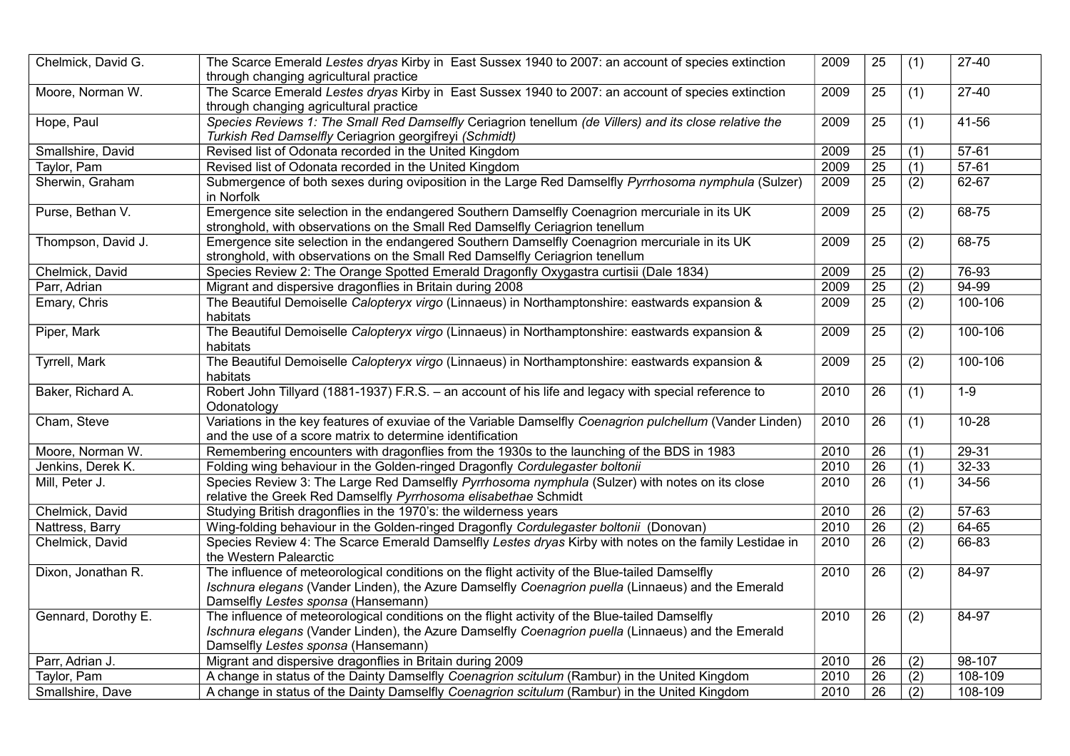| Chelmick, David G.   | The Scarce Emerald Lestes dryas Kirby in East Sussex 1940 to 2007: an account of species extinction                                                                                                                                         | 2009 | 25              | (1)              | $27-40$    |
|----------------------|---------------------------------------------------------------------------------------------------------------------------------------------------------------------------------------------------------------------------------------------|------|-----------------|------------------|------------|
|                      | through changing agricultural practice                                                                                                                                                                                                      |      |                 |                  |            |
| Moore, Norman W.     | The Scarce Emerald Lestes dryas Kirby in East Sussex 1940 to 2007: an account of species extinction<br>through changing agricultural practice                                                                                               | 2009 | 25              | (1)              | $27-40$    |
| Hope, Paul           | Species Reviews 1: The Small Red Damselfly Ceriagrion tenellum (de Villers) and its close relative the                                                                                                                                      | 2009 | $\overline{25}$ | (1)              | $41 - 56$  |
|                      | Turkish Red Damselfly Ceriagrion georgifreyi (Schmidt)                                                                                                                                                                                      |      |                 |                  |            |
| Smallshire, David    | Revised list of Odonata recorded in the United Kingdom                                                                                                                                                                                      | 2009 | 25              | (1)              | $57 - 61$  |
| Taylor, Pam          | Revised list of Odonata recorded in the United Kingdom                                                                                                                                                                                      | 2009 | 25              | (1)              | $57 - 61$  |
| Sherwin, Graham      | Submergence of both sexes during oviposition in the Large Red Damselfly Pyrrhosoma nymphula (Sulzer)<br>in Norfolk                                                                                                                          | 2009 | $\overline{25}$ | (2)              | 62-67      |
| Purse, Bethan V.     | Emergence site selection in the endangered Southern Damselfly Coenagrion mercuriale in its UK                                                                                                                                               | 2009 | 25              | (2)              | 68-75      |
|                      | stronghold, with observations on the Small Red Damselfly Ceriagrion tenellum                                                                                                                                                                |      |                 |                  |            |
| Thompson, David J.   | Emergence site selection in the endangered Southern Damselfly Coenagrion mercuriale in its UK                                                                                                                                               | 2009 | 25              | (2)              | $68 - 75$  |
|                      | stronghold, with observations on the Small Red Damselfly Ceriagrion tenellum                                                                                                                                                                |      |                 |                  |            |
| Chelmick, David      | Species Review 2: The Orange Spotted Emerald Dragonfly Oxygastra curtisii (Dale 1834)                                                                                                                                                       | 2009 | 25              | (2)              | 76-93      |
| Parr, Adrian         | Migrant and dispersive dragonflies in Britain during 2008                                                                                                                                                                                   | 2009 | $\overline{25}$ | (2)              | 94-99      |
| Emary, Chris         | The Beautiful Demoiselle Calopteryx virgo (Linnaeus) in Northamptonshire: eastwards expansion &<br>habitats                                                                                                                                 | 2009 | $\overline{25}$ | $\overline{(2)}$ | 100-106    |
| Piper, Mark          | The Beautiful Demoiselle Calopteryx virgo (Linnaeus) in Northamptonshire: eastwards expansion &<br>habitats                                                                                                                                 | 2009 | 25              | (2)              | 100-106    |
| <b>Tyrrell, Mark</b> | The Beautiful Demoiselle Calopteryx virgo (Linnaeus) in Northamptonshire: eastwards expansion &<br>habitats                                                                                                                                 | 2009 | $\overline{25}$ | (2)              | 100-106    |
| Baker, Richard A.    | Robert John Tillyard (1881-1937) F.R.S. - an account of his life and legacy with special reference to<br>Odonatology                                                                                                                        | 2010 | 26              | (1)              | $1 - 9$    |
| Cham, Steve          | Variations in the key features of exuviae of the Variable Damselfly Coenagrion pulchellum (Vander Linden)<br>and the use of a score matrix to determine identification                                                                      | 2010 | 26              | (1)              | $10 - 28$  |
| Moore, Norman W.     | Remembering encounters with dragonflies from the 1930s to the launching of the BDS in 1983                                                                                                                                                  | 2010 | 26              | (1)              | $29 - 31$  |
| Jenkins, Derek K.    | Folding wing behaviour in the Golden-ringed Dragonfly Cordulegaster boltonii                                                                                                                                                                | 2010 | $\overline{26}$ | (1)              | $32 - 33$  |
| Mill, Peter J.       | Species Review 3: The Large Red Damselfly Pyrrhosoma nymphula (Sulzer) with notes on its close<br>relative the Greek Red Damselfly Pyrrhosoma elisabethae Schmidt                                                                           | 2010 | 26              | (1)              | $34 - 56$  |
| Chelmick, David      | Studying British dragonflies in the 1970's: the wilderness years                                                                                                                                                                            | 2010 | 26              | (2)              | $57-63$    |
| Nattress, Barry      | Wing-folding behaviour in the Golden-ringed Dragonfly Cordulegaster boltonii (Donovan)                                                                                                                                                      | 2010 | $\overline{26}$ | (2)              | 64-65      |
| Chelmick, David      | Species Review 4: The Scarce Emerald Damselfly Lestes dryas Kirby with notes on the family Lestidae in<br>the Western Palearctic                                                                                                            | 2010 | $\overline{26}$ | (2)              | 66-83      |
| Dixon, Jonathan R.   | The influence of meteorological conditions on the flight activity of the Blue-tailed Damselfly<br>Ischnura elegans (Vander Linden), the Azure Damselfly Coenagrion puella (Linnaeus) and the Emerald<br>Damselfly Lestes sponsa (Hansemann) | 2010 | 26              | (2)              | 84-97      |
| Gennard, Dorothy E.  | The influence of meteorological conditions on the flight activity of the Blue-tailed Damselfly<br>Ischnura elegans (Vander Linden), the Azure Damselfly Coenagrion puella (Linnaeus) and the Emerald<br>Damselfly Lestes sponsa (Hansemann) | 2010 | 26              | (2)              | 84-97      |
| Parr, Adrian J.      | Migrant and dispersive dragonflies in Britain during 2009                                                                                                                                                                                   | 2010 | 26              | (2)              | $98 - 107$ |
| Taylor, Pam          | A change in status of the Dainty Damselfly Coenagrion scitulum (Rambur) in the United Kingdom                                                                                                                                               | 2010 | $\overline{26}$ | $\overline{(2)}$ | 108-109    |
| Smallshire, Dave     | A change in status of the Dainty Damselfly Coenagrion scitulum (Rambur) in the United Kingdom                                                                                                                                               | 2010 | $\overline{26}$ | (2)              | 108-109    |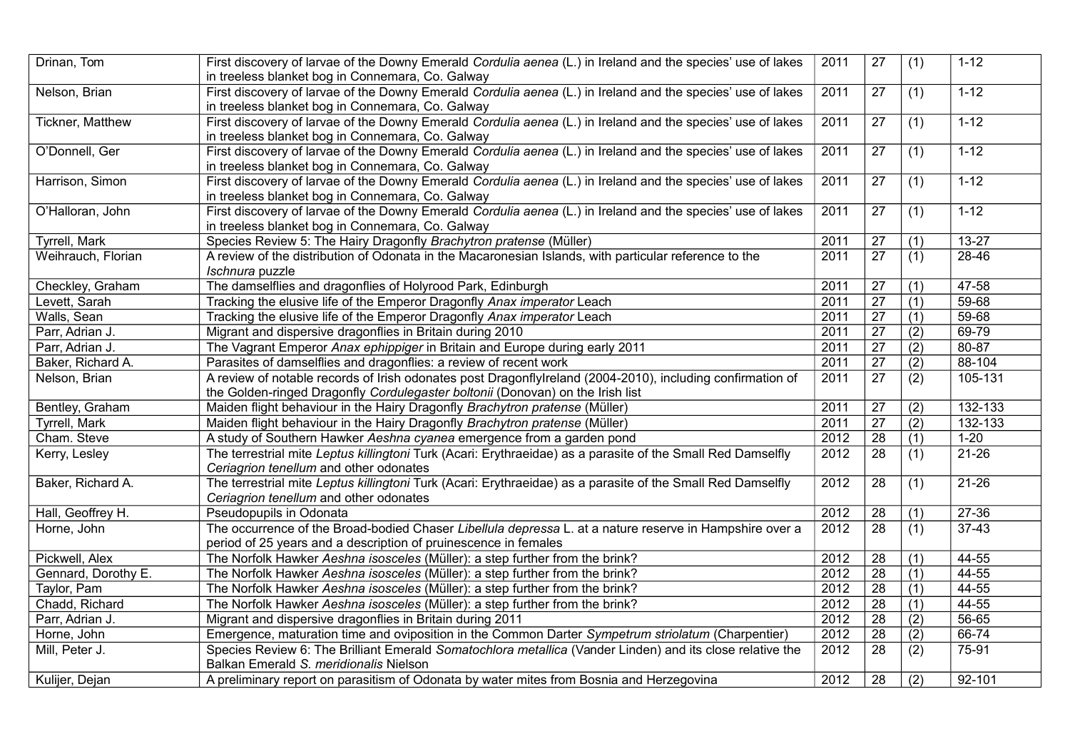| Drinan, Tom         | First discovery of larvae of the Downy Emerald Cordulia aenea (L.) in Ireland and the species' use of lakes<br>in treeless blanket bog in Connemara, Co. Galway                              | 2011 | 27              | (1)              | $1 - 12$  |
|---------------------|----------------------------------------------------------------------------------------------------------------------------------------------------------------------------------------------|------|-----------------|------------------|-----------|
| Nelson, Brian       | First discovery of larvae of the Downy Emerald Cordulia aenea (L.) in Ireland and the species' use of lakes<br>in treeless blanket bog in Connemara, Co. Galway                              | 2011 | 27              | (1)              | $1 - 12$  |
| Tickner, Matthew    | First discovery of larvae of the Downy Emerald Cordulia aenea (L.) in Ireland and the species' use of lakes<br>in treeless blanket bog in Connemara, Co. Galway                              | 2011 | 27              | (1)              | $1 - 12$  |
| O'Donnell, Ger      | First discovery of larvae of the Downy Emerald Cordulia aenea (L.) in Ireland and the species' use of lakes<br>in treeless blanket bog in Connemara, Co. Galway                              | 2011 | 27              | (1)              | $1 - 12$  |
| Harrison, Simon     | First discovery of larvae of the Downy Emerald Cordulia aenea (L.) in Ireland and the species' use of lakes<br>in treeless blanket bog in Connemara, Co. Galway                              | 2011 | 27              | (1)              | $1 - 12$  |
| O'Halloran, John    | First discovery of larvae of the Downy Emerald Cordulia aenea (L.) in Ireland and the species' use of lakes<br>in treeless blanket bog in Connemara, Co. Galway                              | 2011 | 27              | (1)              | $1 - 12$  |
| Tyrrell, Mark       | Species Review 5: The Hairy Dragonfly Brachytron pratense (Müller)                                                                                                                           | 2011 | 27              | (1)              | $13 - 27$ |
| Weihrauch, Florian  | A review of the distribution of Odonata in the Macaronesian Islands, with particular reference to the<br>Ischnura puzzle                                                                     | 2011 | $\overline{27}$ | (1)              | $28 - 46$ |
| Checkley, Graham    | The damselflies and dragonflies of Holyrood Park, Edinburgh                                                                                                                                  | 2011 | 27              | (1)              | 47-58     |
| Levett, Sarah       | Tracking the elusive life of the Emperor Dragonfly Anax imperator Leach                                                                                                                      | 2011 | $\overline{27}$ | (1)              | 59-68     |
| Walls, Sean         | Tracking the elusive life of the Emperor Dragonfly Anax imperator Leach                                                                                                                      | 2011 | $\overline{27}$ | (1)              | 59-68     |
| Parr, Adrian J.     | Migrant and dispersive dragonflies in Britain during 2010                                                                                                                                    | 2011 | $\overline{27}$ | (2)              | $69 - 79$ |
| Parr, Adrian J.     | The Vagrant Emperor Anax ephippiger in Britain and Europe during early 2011                                                                                                                  | 2011 | $\overline{27}$ | (2)              | 80-87     |
| Baker, Richard A.   | Parasites of damselflies and dragonflies: a review of recent work                                                                                                                            | 2011 | $\overline{27}$ | (2)              | 88-104    |
| Nelson, Brian       | A review of notable records of Irish odonates post DragonflyIreland (2004-2010), including confirmation of<br>the Golden-ringed Dragonfly Cordulegaster boltonii (Donovan) on the Irish list | 2011 | 27              | (2)              | 105-131   |
| Bentley, Graham     | Maiden flight behaviour in the Hairy Dragonfly Brachytron pratense (Müller)                                                                                                                  | 2011 | $\overline{27}$ | $\overline{(2)}$ | 132-133   |
| Tyrrell, Mark       | Maiden flight behaviour in the Hairy Dragonfly Brachytron pratense (Müller)                                                                                                                  | 2011 | $\overline{27}$ | $\overline{(2)}$ | 132-133   |
| Cham. Steve         | A study of Southern Hawker Aeshna cyanea emergence from a garden pond                                                                                                                        | 2012 | $\overline{28}$ | (1)              | $1 - 20$  |
| Kerry, Lesley       | The terrestrial mite Leptus killingtoni Turk (Acari: Erythraeidae) as a parasite of the Small Red Damselfly<br>Ceriagrion tenellum and other odonates                                        | 2012 | $\overline{28}$ | (1)              | $21 - 26$ |
| Baker, Richard A.   | The terrestrial mite Leptus killingtoni Turk (Acari: Erythraeidae) as a parasite of the Small Red Damselfly<br>Ceriagrion tenellum and other odonates                                        | 2012 | 28              | (1)              | $21 - 26$ |
| Hall, Geoffrey H.   | Pseudopupils in Odonata                                                                                                                                                                      | 2012 | 28              | (1)              | 27-36     |
| Horne, John         | The occurrence of the Broad-bodied Chaser Libellula depressa L. at a nature reserve in Hampshire over a<br>period of 25 years and a description of pruinescence in females                   | 2012 | $\overline{28}$ | $\overline{(1)}$ | $37-43$   |
| Pickwell, Alex      | The Norfolk Hawker Aeshna isosceles (Müller): a step further from the brink?                                                                                                                 | 2012 | 28              | (1)              | 44-55     |
| Gennard, Dorothy E. | The Norfolk Hawker Aeshna isosceles (Müller): a step further from the brink?                                                                                                                 | 2012 | 28              | $\overline{(1)}$ | $44 - 55$ |
| Taylor, Pam         | The Norfolk Hawker Aeshna isosceles (Müller): a step further from the brink?                                                                                                                 | 2012 | $\overline{28}$ | $\overline{(1)}$ | $44 - 55$ |
| Chadd, Richard      | The Norfolk Hawker Aeshna isosceles (Müller): a step further from the brink?                                                                                                                 | 2012 | $\overline{28}$ | (1)              | $44 - 55$ |
| Parr, Adrian J.     | Migrant and dispersive dragonflies in Britain during 2011                                                                                                                                    | 2012 | $\overline{28}$ | (2)              | $56 - 65$ |
| Horne, John         | Emergence, maturation time and oviposition in the Common Darter Sympetrum striolatum (Charpentier)                                                                                           | 2012 | $\overline{28}$ | $\overline{(2)}$ | $66 - 74$ |
| Mill, Peter J.      | Species Review 6: The Brilliant Emerald Somatochlora metallica (Vander Linden) and its close relative the<br>Balkan Emerald S. meridionalis Nielson                                          | 2012 | $\overline{28}$ | $\overline{(2)}$ | 75-91     |
| Kulijer, Dejan      | A preliminary report on parasitism of Odonata by water mites from Bosnia and Herzegovina                                                                                                     | 2012 | 28              | $\overline{(2)}$ | 92-101    |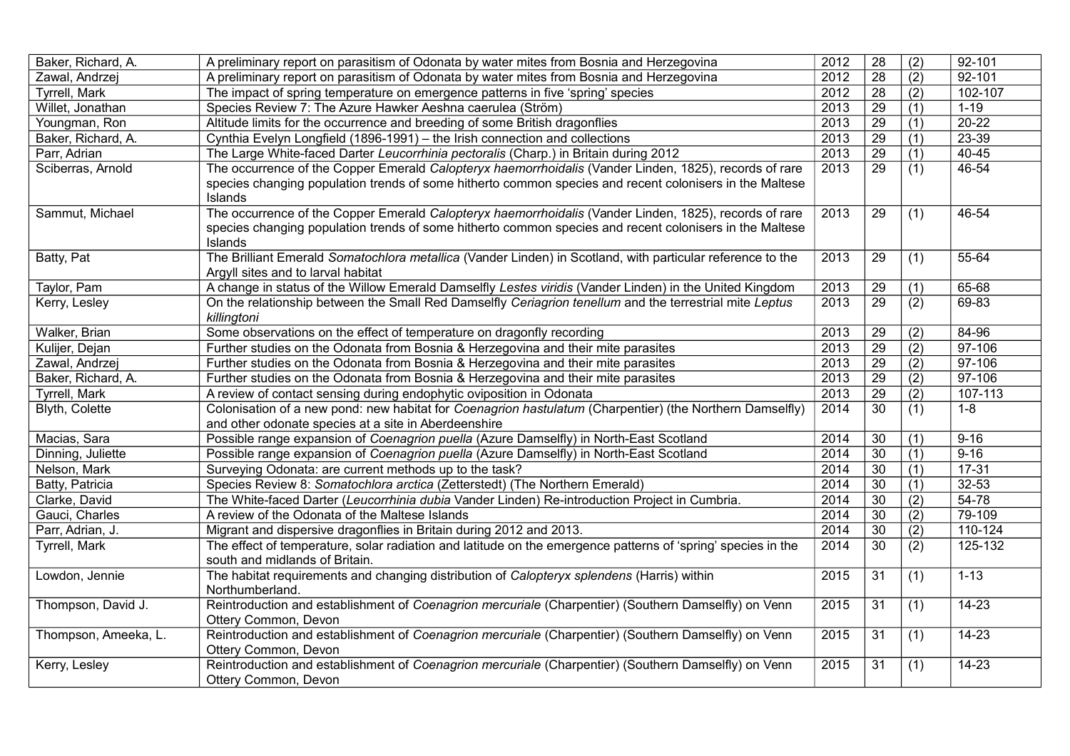| Baker, Richard, A.   | A preliminary report on parasitism of Odonata by water mites from Bosnia and Herzegovina                     | 2012 | $\overline{28}$ | (2)              | 92-101    |
|----------------------|--------------------------------------------------------------------------------------------------------------|------|-----------------|------------------|-----------|
| Zawal, Andrzej       | A preliminary report on parasitism of Odonata by water mites from Bosnia and Herzegovina                     | 2012 | $\overline{28}$ | (2)              | 92-101    |
| Tyrrell, Mark        | The impact of spring temperature on emergence patterns in five 'spring' species                              | 2012 | 28              | (2)              | 102-107   |
| Willet, Jonathan     | Species Review 7: The Azure Hawker Aeshna caerulea (Ström)                                                   | 2013 | $\overline{29}$ | (1)              | $1 - 19$  |
| Youngman, Ron        | Altitude limits for the occurrence and breeding of some British dragonflies                                  | 2013 | 29              | (1)              | $20 - 22$ |
| Baker, Richard, A.   | Cynthia Evelyn Longfield (1896-1991) - the Irish connection and collections                                  | 2013 | $\overline{29}$ | (1)              | $23 - 39$ |
| Parr, Adrian         | The Large White-faced Darter Leucorrhinia pectoralis (Charp.) in Britain during 2012                         | 2013 | $\overline{29}$ | (1)              | 40-45     |
| Sciberras, Arnold    | The occurrence of the Copper Emerald Calopteryx haemorrhoidalis (Vander Linden, 1825), records of rare       | 2013 | 29              | (1)              | 46-54     |
|                      | species changing population trends of some hitherto common species and recent colonisers in the Maltese      |      |                 |                  |           |
|                      | Islands                                                                                                      |      |                 |                  |           |
| Sammut, Michael      | The occurrence of the Copper Emerald Calopteryx haemorrhoidalis (Vander Linden, 1825), records of rare       | 2013 | $\overline{29}$ | $\overline{(1)}$ | 46-54     |
|                      | species changing population trends of some hitherto common species and recent colonisers in the Maltese      |      |                 |                  |           |
|                      | Islands                                                                                                      |      |                 |                  |           |
| Batty, Pat           | The Brilliant Emerald Somatochlora metallica (Vander Linden) in Scotland, with particular reference to the   | 2013 | 29              | (1)              | 55-64     |
|                      | Argyll sites and to larval habitat                                                                           |      |                 |                  |           |
| Taylor, Pam          | A change in status of the Willow Emerald Damselfly Lestes viridis (Vander Linden) in the United Kingdom      | 2013 | 29              | (1)              | 65-68     |
| Kerry, Lesley        | On the relationship between the Small Red Damselfly Ceriagrion tenellum and the terrestrial mite Leptus      | 2013 | $\overline{29}$ | $\overline{(2)}$ | $69 - 83$ |
|                      | killingtoni                                                                                                  |      |                 |                  |           |
| Walker, Brian        | Some observations on the effect of temperature on dragonfly recording                                        | 2013 | 29              | (2)              | $84 - 96$ |
| Kulijer, Dejan       | Further studies on the Odonata from Bosnia & Herzegovina and their mite parasites                            | 2013 | 29              | (2)              | 97-106    |
| Zawal, Andrzej       | Further studies on the Odonata from Bosnia & Herzegovina and their mite parasites                            | 2013 | $\overline{29}$ | (2)              | 97-106    |
| Baker, Richard, A.   | Further studies on the Odonata from Bosnia & Herzegovina and their mite parasites                            | 2013 | $\overline{29}$ | (2)              | 97-106    |
| Tyrrell, Mark        | A review of contact sensing during endophytic oviposition in Odonata                                         | 2013 | $\overline{29}$ | $\overline{(2)}$ | 107-113   |
| Blyth, Colette       | Colonisation of a new pond: new habitat for Coenagrion hastulatum (Charpentier) (the Northern Damselfly)     | 2014 | 30              | (1)              | $1 - 8$   |
|                      | and other odonate species at a site in Aberdeenshire                                                         |      |                 |                  |           |
| Macias, Sara         | Possible range expansion of Coenagrion puella (Azure Damselfly) in North-East Scotland                       | 2014 | 30              | (1)              | $9 - 16$  |
| Dinning, Juliette    | Possible range expansion of Coenagrion puella (Azure Damselfly) in North-East Scotland                       | 2014 | $\overline{30}$ | (1)              | $9 - 16$  |
| Nelson, Mark         | Surveying Odonata: are current methods up to the task?                                                       | 2014 | 30              | (1)              | $17 - 31$ |
| Batty, Patricia      | Species Review 8: Somatochlora arctica (Zetterstedt) (The Northern Emerald)                                  | 2014 | $\overline{30}$ | (1)              | $32 - 53$ |
| Clarke, David        | The White-faced Darter (Leucorrhinia dubia Vander Linden) Re-introduction Project in Cumbria.                | 2014 | 30              | (2)              | 54-78     |
| Gauci, Charles       | A review of the Odonata of the Maltese Islands                                                               | 2014 | 30              | (2)              | 79-109    |
| Parr, Adrian, J.     | Migrant and dispersive dragonflies in Britain during 2012 and 2013.                                          | 2014 | $\overline{30}$ | (2)              | 110-124   |
| <b>Tyrrell, Mark</b> | The effect of temperature, solar radiation and latitude on the emergence patterns of 'spring' species in the | 2014 | 30              | (2)              | 125-132   |
|                      | south and midlands of Britain.                                                                               |      |                 |                  |           |
| Lowdon, Jennie       | The habitat requirements and changing distribution of Calopteryx splendens (Harris) within                   | 2015 | 31              | (1)              | $1 - 13$  |
|                      | Northumberland.                                                                                              |      |                 |                  |           |
| Thompson, David J.   | Reintroduction and establishment of Coenagrion mercuriale (Charpentier) (Southern Damselfly) on Venn         | 2015 | 31              | (1)              | $14 - 23$ |
|                      | Ottery Common, Devon                                                                                         |      |                 |                  |           |
| Thompson, Ameeka, L. | Reintroduction and establishment of Coenagrion mercuriale (Charpentier) (Southern Damselfly) on Venn         | 2015 | 31              | (1)              | $14 - 23$ |
|                      | Ottery Common, Devon                                                                                         |      |                 |                  |           |
| Kerry, Lesley        | Reintroduction and establishment of Coenagrion mercuriale (Charpentier) (Southern Damselfly) on Venn         | 2015 | 31              | (1)              | $14 - 23$ |
|                      | Ottery Common, Devon                                                                                         |      |                 |                  |           |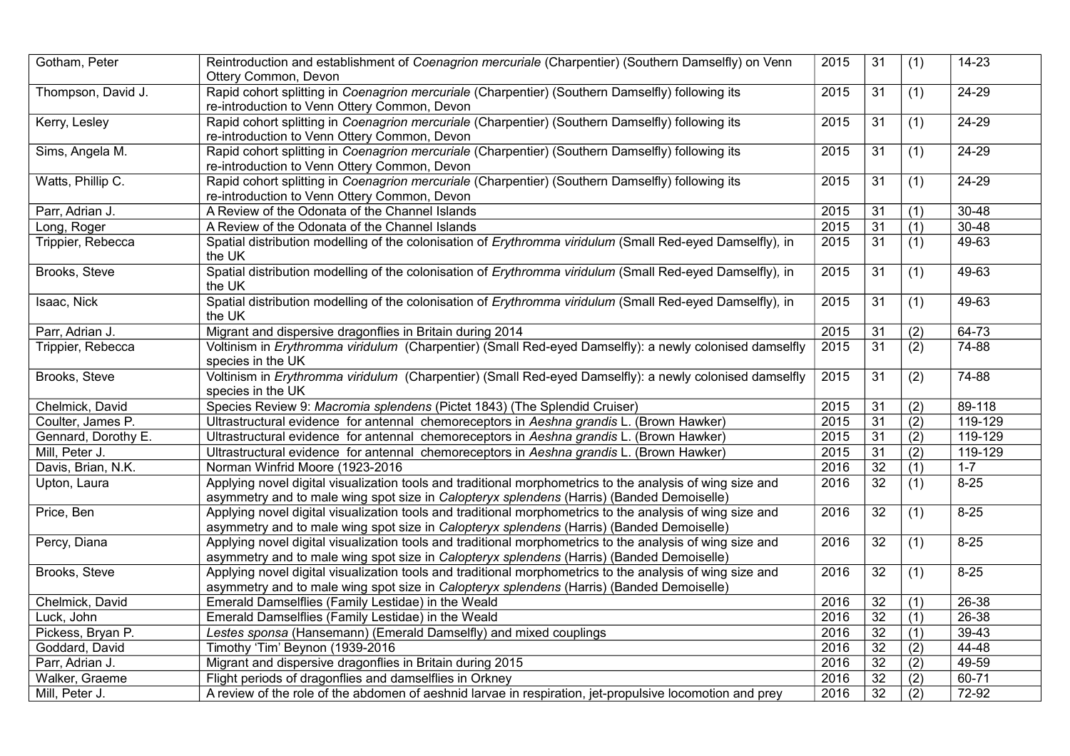| Gotham, Peter       | Reintroduction and establishment of Coenagrion mercuriale (Charpentier) (Southern Damselfly) on Venn<br>Ottery Common, Devon                                                                           | 2015 | 31              | (1)              | $14 - 23$ |
|---------------------|--------------------------------------------------------------------------------------------------------------------------------------------------------------------------------------------------------|------|-----------------|------------------|-----------|
| Thompson, David J.  | Rapid cohort splitting in Coenagrion mercuriale (Charpentier) (Southern Damselfly) following its<br>re-introduction to Venn Ottery Common, Devon                                                       | 2015 | 31              | (1)              | $24 - 29$ |
| Kerry, Lesley       | Rapid cohort splitting in Coenagrion mercuriale (Charpentier) (Southern Damselfly) following its<br>re-introduction to Venn Ottery Common, Devon                                                       | 2015 | $\overline{31}$ | $\overline{(1)}$ | $24 - 29$ |
| Sims, Angela M.     | Rapid cohort splitting in Coenagrion mercuriale (Charpentier) (Southern Damselfly) following its<br>re-introduction to Venn Ottery Common, Devon                                                       | 2015 | 31              | (1)              | 24-29     |
| Watts, Phillip C.   | Rapid cohort splitting in Coenagrion mercuriale (Charpentier) (Southern Damselfly) following its<br>re-introduction to Venn Ottery Common, Devon                                                       | 2015 | 31              | (1)              | $24 - 29$ |
| Parr, Adrian J.     | A Review of the Odonata of the Channel Islands                                                                                                                                                         | 2015 | 31              | (1)              | $30 - 48$ |
| Long, Roger         | A Review of the Odonata of the Channel Islands                                                                                                                                                         | 2015 | $\overline{31}$ | $\overline{(1)}$ | $30 - 48$ |
| Trippier, Rebecca   | Spatial distribution modelling of the colonisation of Erythromma viridulum (Small Red-eyed Damselfly), in<br>the UK                                                                                    | 2015 | $\overline{31}$ | (1)              | $49-63$   |
| Brooks, Steve       | Spatial distribution modelling of the colonisation of Erythromma viridulum (Small Red-eyed Damselfly), in<br>the UK                                                                                    | 2015 | 31              | (1)              | 49-63     |
| Isaac, Nick         | Spatial distribution modelling of the colonisation of Erythromma viridulum (Small Red-eyed Damselfly), in<br>the UK                                                                                    | 2015 | 31              | (1)              | 49-63     |
| Parr, Adrian J.     | Migrant and dispersive dragonflies in Britain during 2014                                                                                                                                              | 2015 | 31              | (2)              | $64 - 73$ |
| Trippier, Rebecca   | Voltinism in Erythromma viridulum (Charpentier) (Small Red-eyed Damselfly): a newly colonised damselfly<br>species in the UK                                                                           | 2015 | 31              | (2)              | $74 - 88$ |
| Brooks, Steve       | Voltinism in Erythromma viridulum (Charpentier) (Small Red-eyed Damselfly): a newly colonised damselfly<br>species in the UK                                                                           | 2015 | 31              | (2)              | 74-88     |
| Chelmick, David     | Species Review 9: Macromia splendens (Pictet 1843) (The Splendid Cruiser)                                                                                                                              | 2015 | 31              | (2)              | 89-118    |
| Coulter, James P.   | Ultrastructural evidence for antennal chemoreceptors in Aeshna grandis L. (Brown Hawker)                                                                                                               | 2015 | $\overline{31}$ | (2)              | 119-129   |
| Gennard, Dorothy E. | Ultrastructural evidence for antennal chemoreceptors in Aeshna grandis L. (Brown Hawker)                                                                                                               | 2015 | 31              | (2)              | 119-129   |
| Mill, Peter J.      | Ultrastructural evidence for antennal chemoreceptors in Aeshna grandis L. (Brown Hawker)                                                                                                               | 2015 | $\overline{31}$ | (2)              | 119-129   |
| Davis, Brian, N.K.  | Norman Winfrid Moore (1923-2016                                                                                                                                                                        | 2016 | $\overline{32}$ | (1)              | $1 - 7$   |
| Upton, Laura        | Applying novel digital visualization tools and traditional morphometrics to the analysis of wing size and<br>asymmetry and to male wing spot size in Calopteryx splendens (Harris) (Banded Demoiselle) | 2016 | $\overline{32}$ | (1)              | $8 - 25$  |
| Price, Ben          | Applying novel digital visualization tools and traditional morphometrics to the analysis of wing size and<br>asymmetry and to male wing spot size in Calopteryx splendens (Harris) (Banded Demoiselle) | 2016 | 32              | (1)              | $8 - 25$  |
| Percy, Diana        | Applying novel digital visualization tools and traditional morphometrics to the analysis of wing size and<br>asymmetry and to male wing spot size in Calopteryx splendens (Harris) (Banded Demoiselle) | 2016 | 32              | (1)              | $8 - 25$  |
| Brooks, Steve       | Applying novel digital visualization tools and traditional morphometrics to the analysis of wing size and<br>asymmetry and to male wing spot size in Calopteryx splendens (Harris) (Banded Demoiselle) | 2016 | 32              | (1)              | $8 - 25$  |
| Chelmick, David     | Emerald Damselflies (Family Lestidae) in the Weald                                                                                                                                                     | 2016 | 32              | (1)              | $26 - 38$ |
| Luck, John          | Emerald Damselflies (Family Lestidae) in the Weald                                                                                                                                                     | 2016 | $\overline{32}$ | $\overline{(1)}$ | $26 - 38$ |
| Pickess, Bryan P.   | Lestes sponsa (Hansemann) (Emerald Damselfly) and mixed couplings                                                                                                                                      | 2016 | $\overline{32}$ | (1)              | $39 - 43$ |
| Goddard, David      | Timothy 'Tim' Beynon (1939-2016                                                                                                                                                                        | 2016 | 32              | $\overline{(2)}$ | $44 - 48$ |
| Parr, Adrian J.     | Migrant and dispersive dragonflies in Britain during 2015                                                                                                                                              | 2016 | 32              | (2)              | 49-59     |
| Walker, Graeme      | Flight periods of dragonflies and damselflies in Orkney                                                                                                                                                | 2016 | $\overline{32}$ | (2)              | $60 - 71$ |
| Mill, Peter J.      | A review of the role of the abdomen of aeshnid larvae in respiration, jet-propulsive locomotion and prey                                                                                               | 2016 | $\overline{32}$ | (2)              | 72-92     |